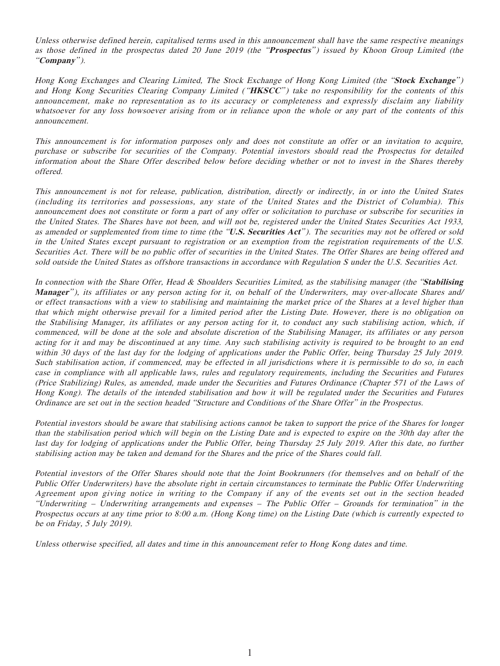Unless otherwise defined herein, capitalised terms used in this announcement shall have the same respective meanings as those defined in the prospectus dated 20 June 2019 (the "**Prospectus**") issued by Khoon Group Limited (the "**Company**").

Hong Kong Exchanges and Clearing Limited, The Stock Exchange of Hong Kong Limited (the "**Stock Exchange**" ) and Hong Kong Securities Clearing Company Limited ( "**HKSCC**" ) take no responsibility for the contents of this announcement, make no representation as to its accuracy or completeness and expressly disclaim any liability whatsoever for any loss howsoever arising from or in reliance upon the whole or any part of the contents of this announcement.

This announcement is for information purposes only and does not constitute an offer or an invitation to acquire, purchase or subscribe for securities of the Company. Potential investors should read the Prospectus for detailed information about the Share Offer described below before deciding whether or not to invest in the Shares thereby offered.

This announcement is not for release, publication, distribution, directly or indirectly, in or into the United States (including its territories and possessions, any state of the United States and the District of Columbia). This announcement does not constitute or form a part of any offer or solicitation to purchase or subscribe for securities in the United States. The Shares have not been, and will not be, registered under the United States Securities Act 1933, as amended or supplemented from time to time (the "**U.S. Securities Act**" ). The securities may not be offered or sold in the United States except pursuant to registration or an exemption from the registration requirements of the U.S. Securities Act. There will be no public offer of securities in the United States. The Offer Shares are being offered and sold outside the United States as offshore transactions in accordance with Regulation S under the U.S. Securities Act.

In connection with the Share Offer, Head & Shoulders Securities Limited, as the stabilising manager (the "**Stabilising Manager**" ), its affiliates or any person acting for it, on behalf of the Underwriters, may over-allocate Shares and/ or effect transactions with a view to stabilising and maintaining the market price of the Shares at a level higher than that which might otherwise prevail for a limited period after the Listing Date. However, there is no obligation on the Stabilising Manager, its affiliates or any person acting for it, to conduct any such stabilising action, which, if commenced, will be done at the sole and absolute discretion of the Stabilising Manager, its affiliates or any person acting for it and may be discontinued at any time. Any such stabilising activity is required to be brought to an end within 30 days of the last day for the lodging of applications under the Public Offer, being Thursday 25 July 2019. Such stabilisation action, if commenced, may be effected in all jurisdictions where it is permissible to do so, in each case in compliance with all applicable laws, rules and regulatory requirements, including the Securities and Futures (Price Stabilizing) Rules, as amended, made under the Securities and Futures Ordinance (Chapter 571 of the Laws of Hong Kong). The details of the intended stabilisation and how it will be regulated under the Securities and Futures Ordinance are set out in the section headed "Structure and Conditions of the Share Offer" in the Prospectus.

Potential investors should be aware that stabilising actions cannot be taken to support the price of the Shares for longer than the stabilisation period which will begin on the Listing Date and is expected to expire on the 30th day after the last day for lodging of applications under the Public Offer, being Thursday 25 July 2019. After this date, no further stabilising action may be taken and demand for the Shares and the price of the Shares could fall.

Potential investors of the Offer Shares should note that the Joint Bookrunners (for themselves and on behalf of the Public Offer Underwriters) have the absolute right in certain circumstances to terminate the Public Offer Underwriting Agreement upon giving notice in writing to the Company if any of the events set out in the section headed "Underwriting – Underwriting arrangements and expenses – The Public Offer – Grounds for termination" in the Prospectus occurs at any time prior to 8:00 a.m. (Hong Kong time) on the Listing Date (which is currently expected to be on Friday, 5 July 2019).

Unless otherwise specified, all dates and time in this announcement refer to Hong Kong dates and time.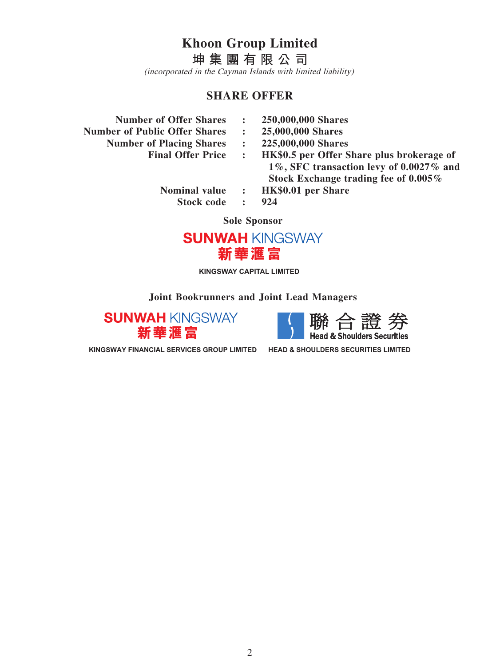**Khoon Group Limited**

**坤集團有限公司** (incorporated in the Cayman Islands with limited liability)

# **SHARE OFFER**

- **Number of Offer Shares : 250,000,000 Shares**
- **Number of Public Offer Shares : 25,000,000 Shares**
	- **Number of Placing Shares : 225,000,000 Shares**
		-
- 
- 
- 
- **Final Offer Price : HK\$0.5 per Offer Share plus brokerage of 1%, SFC transaction levy of 0.0027% and Stock Exchange trading fee of 0.005%**
	- **Nominal value : HK\$0.01 per Share Stock code : 924**
		-

**Sole Sponsor**



**KINGSWAY CAPITAL LIMITED**

**Joint Bookrunners and Joint Lead Managers**





**KINGSWAY FINANCIAL SERVICES GROUP LIMITED HEAD & SHOULDERS SECURITIES LIMITED**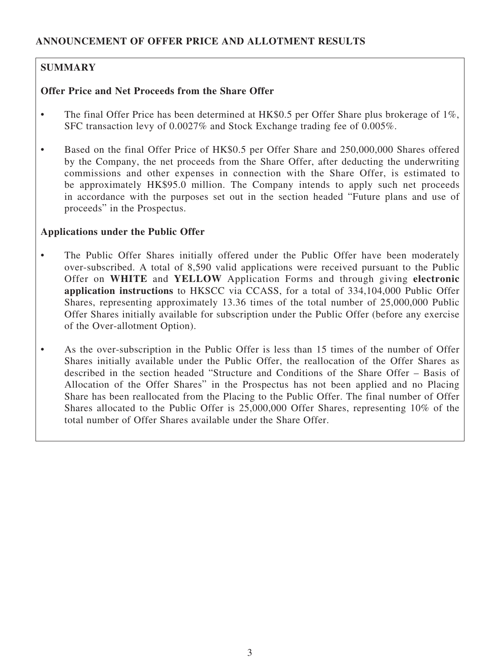# **SUMMARY**

# **Offer Price and Net Proceeds from the Share Offer**

- The final Offer Price has been determined at HK\$0.5 per Offer Share plus brokerage of 1%, SFC transaction levy of 0.0027% and Stock Exchange trading fee of 0.005%.
- Based on the final Offer Price of HK\$0.5 per Offer Share and 250,000,000 Shares offered by the Company, the net proceeds from the Share Offer, after deducting the underwriting commissions and other expenses in connection with the Share Offer, is estimated to be approximately HK\$95.0 million. The Company intends to apply such net proceeds in accordance with the purposes set out in the section headed "Future plans and use of proceeds" in the Prospectus.

# **Applications under the Public Offer**

- The Public Offer Shares initially offered under the Public Offer have been moderately over-subscribed. A total of 8,590 valid applications were received pursuant to the Public Offer on **WHITE** and **YELLOW** Application Forms and through giving **electronic application instructions** to HKSCC via CCASS, for a total of 334,104,000 Public Offer Shares, representing approximately 13.36 times of the total number of 25,000,000 Public Offer Shares initially available for subscription under the Public Offer (before any exercise of the Over-allotment Option).
- As the over-subscription in the Public Offer is less than 15 times of the number of Offer Shares initially available under the Public Offer, the reallocation of the Offer Shares as described in the section headed "Structure and Conditions of the Share Offer – Basis of Allocation of the Offer Shares" in the Prospectus has not been applied and no Placing Share has been reallocated from the Placing to the Public Offer. The final number of Offer Shares allocated to the Public Offer is 25,000,000 Offer Shares, representing 10% of the total number of Offer Shares available under the Share Offer.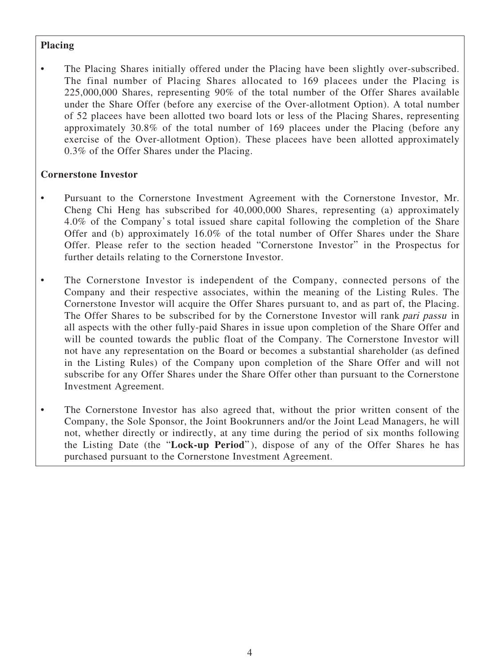# **Placing**

The Placing Shares initially offered under the Placing have been slightly over-subscribed. The final number of Placing Shares allocated to 169 placees under the Placing is 225,000,000 Shares, representing 90% of the total number of the Offer Shares available under the Share Offer (before any exercise of the Over-allotment Option). A total number of 52 placees have been allotted two board lots or less of the Placing Shares, representing approximately 30.8% of the total number of 169 placees under the Placing (before any exercise of the Over-allotment Option). These placees have been allotted approximately 0.3% of the Offer Shares under the Placing.

# **Cornerstone Investor**

- Pursuant to the Cornerstone Investment Agreement with the Cornerstone Investor, Mr. Cheng Chi Heng has subscribed for 40,000,000 Shares, representing (a) approximately 4.0% of the Company's total issued share capital following the completion of the Share Offer and (b) approximately 16.0% of the total number of Offer Shares under the Share Offer. Please refer to the section headed "Cornerstone Investor" in the Prospectus for further details relating to the Cornerstone Investor.
- The Cornerstone Investor is independent of the Company, connected persons of the Company and their respective associates, within the meaning of the Listing Rules. The Cornerstone Investor will acquire the Offer Shares pursuant to, and as part of, the Placing. The Offer Shares to be subscribed for by the Cornerstone Investor will rank pari passu in all aspects with the other fully-paid Shares in issue upon completion of the Share Offer and will be counted towards the public float of the Company. The Cornerstone Investor will not have any representation on the Board or becomes a substantial shareholder (as defined in the Listing Rules) of the Company upon completion of the Share Offer and will not subscribe for any Offer Shares under the Share Offer other than pursuant to the Cornerstone Investment Agreement.
- The Cornerstone Investor has also agreed that, without the prior written consent of the Company, the Sole Sponsor, the Joint Bookrunners and/or the Joint Lead Managers, he will not, whether directly or indirectly, at any time during the period of six months following the Listing Date (the "**Lock-up Period**" ), dispose of any of the Offer Shares he has purchased pursuant to the Cornerstone Investment Agreement.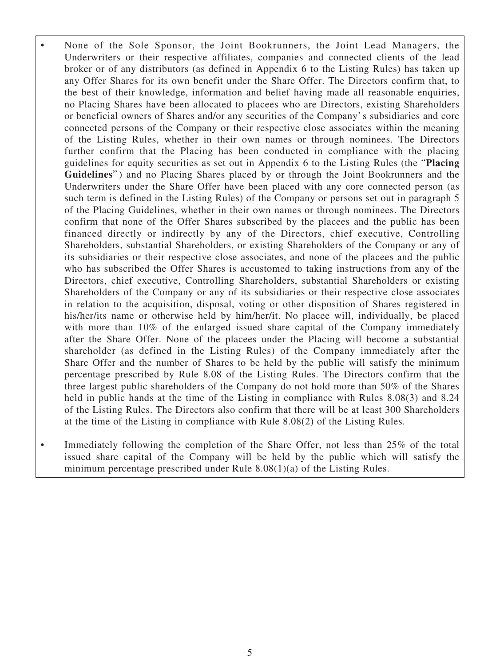- None of the Sole Sponsor, the Joint Bookrunners, the Joint Lead Managers, the Underwriters or their respective affiliates, companies and connected clients of the lead broker or of any distributors (as defined in Appendix 6 to the Listing Rules) has taken up any Offer Shares for its own benefit under the Share Offer. The Directors confirm that, to the best of their knowledge, information and belief having made all reasonable enquiries, no Placing Shares have been allocated to placees who are Directors, existing Shareholders or beneficial owners of Shares and/or any securities of the Company's subsidiaries and core connected persons of the Company or their respective close associates within the meaning of the Listing Rules, whether in their own names or through nominees. The Directors further confirm that the Placing has been conducted in compliance with the placing guidelines for equity securities as set out in Appendix 6 to the Listing Rules (the "**Placing**  Guidelines") and no Placing Shares placed by or through the Joint Bookrunners and the Underwriters under the Share Offer have been placed with any core connected person (as such term is defined in the Listing Rules) of the Company or persons set out in paragraph 5 of the Placing Guidelines, whether in their own names or through nominees. The Directors confirm that none of the Offer Shares subscribed by the placees and the public has been financed directly or indirectly by any of the Directors, chief executive, Controlling Shareholders, substantial Shareholders, or existing Shareholders of the Company or any of its subsidiaries or their respective close associates, and none of the placees and the public who has subscribed the Offer Shares is accustomed to taking instructions from any of the Directors, chief executive, Controlling Shareholders, substantial Shareholders or existing Shareholders of the Company or any of its subsidiaries or their respective close associates in relation to the acquisition, disposal, voting or other disposition of Shares registered in his/her/its name or otherwise held by him/her/it. No placee will, individually, be placed with more than 10% of the enlarged issued share capital of the Company immediately after the Share Offer. None of the placees under the Placing will become a substantial shareholder (as defined in the Listing Rules) of the Company immediately after the Share Offer and the number of Shares to be held by the public will satisfy the minimum percentage prescribed by Rule 8.08 of the Listing Rules. The Directors confirm that the three largest public shareholders of the Company do not hold more than 50% of the Shares held in public hands at the time of the Listing in compliance with Rules 8.08(3) and 8.24 of the Listing Rules. The Directors also confirm that there will be at least 300 Shareholders at the time of the Listing in compliance with Rule 8.08(2) of the Listing Rules.
- Immediately following the completion of the Share Offer, not less than 25% of the total issued share capital of the Company will be held by the public which will satisfy the minimum percentage prescribed under Rule 8.08(1)(a) of the Listing Rules.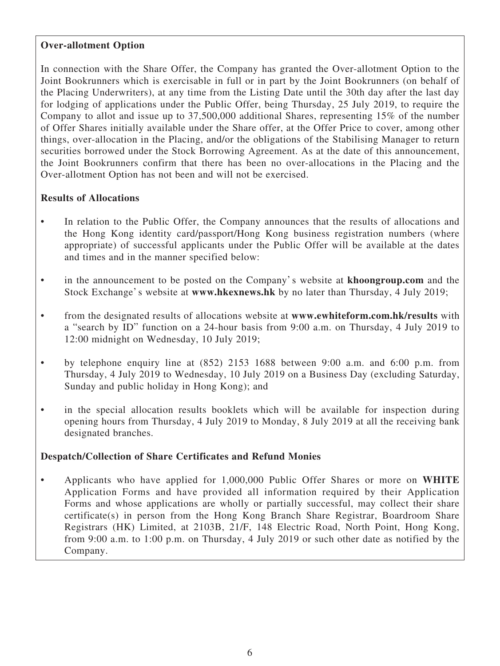# **Over-allotment Option**

In connection with the Share Offer, the Company has granted the Over-allotment Option to the Joint Bookrunners which is exercisable in full or in part by the Joint Bookrunners (on behalf of the Placing Underwriters), at any time from the Listing Date until the 30th day after the last day for lodging of applications under the Public Offer, being Thursday, 25 July 2019, to require the Company to allot and issue up to 37,500,000 additional Shares, representing 15% of the number of Offer Shares initially available under the Share offer, at the Offer Price to cover, among other things, over-allocation in the Placing, and/or the obligations of the Stabilising Manager to return securities borrowed under the Stock Borrowing Agreement. As at the date of this announcement, the Joint Bookrunners confirm that there has been no over-allocations in the Placing and the Over-allotment Option has not been and will not be exercised.

## **Results of Allocations**

- In relation to the Public Offer, the Company announces that the results of allocations and the Hong Kong identity card/passport/Hong Kong business registration numbers (where appropriate) of successful applicants under the Public Offer will be available at the dates and times and in the manner specified below:
- in the announcement to be posted on the Company's website at **khoongroup.com** and the Stock Exchange's website at **www.hkexnews.hk** by no later than Thursday, 4 July 2019;
- from the designated results of allocations website at **www.ewhiteform.com.hk/results** with a "search by ID" function on a 24-hour basis from 9:00 a.m. on Thursday, 4 July 2019 to 12:00 midnight on Wednesday, 10 July 2019;
- by telephone enquiry line at (852) 2153 1688 between 9:00 a.m. and 6:00 p.m. from Thursday, 4 July 2019 to Wednesday, 10 July 2019 on a Business Day (excluding Saturday, Sunday and public holiday in Hong Kong); and
- in the special allocation results booklets which will be available for inspection during opening hours from Thursday, 4 July 2019 to Monday, 8 July 2019 at all the receiving bank designated branches.

## **Despatch/Collection of Share Certificates and Refund Monies**

• Applicants who have applied for 1,000,000 Public Offer Shares or more on **WHITE** Application Forms and have provided all information required by their Application Forms and whose applications are wholly or partially successful, may collect their share certificate(s) in person from the Hong Kong Branch Share Registrar, Boardroom Share Registrars (HK) Limited, at 2103B, 21/F, 148 Electric Road, North Point, Hong Kong, from 9:00 a.m. to 1:00 p.m. on Thursday, 4 July 2019 or such other date as notified by the Company.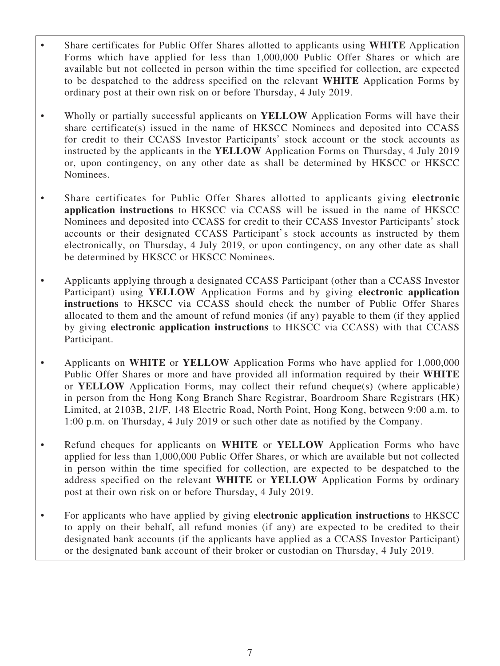- Share certificates for Public Offer Shares allotted to applicants using **WHITE** Application Forms which have applied for less than 1,000,000 Public Offer Shares or which are available but not collected in person within the time specified for collection, are expected to be despatched to the address specified on the relevant **WHITE** Application Forms by ordinary post at their own risk on or before Thursday, 4 July 2019.
- Wholly or partially successful applicants on **YELLOW** Application Forms will have their share certificate(s) issued in the name of HKSCC Nominees and deposited into CCASS for credit to their CCASS Investor Participants' stock account or the stock accounts as instructed by the applicants in the **YELLOW** Application Forms on Thursday, 4 July 2019 or, upon contingency, on any other date as shall be determined by HKSCC or HKSCC Nominees.
- Share certificates for Public Offer Shares allotted to applicants giving **electronic application instructions** to HKSCC via CCASS will be issued in the name of HKSCC Nominees and deposited into CCASS for credit to their CCASS Investor Participants' stock accounts or their designated CCASS Participant's stock accounts as instructed by them electronically, on Thursday, 4 July 2019, or upon contingency, on any other date as shall be determined by HKSCC or HKSCC Nominees.
- Applicants applying through a designated CCASS Participant (other than a CCASS Investor Participant) using **YELLOW** Application Forms and by giving **electronic application instructions** to HKSCC via CCASS should check the number of Public Offer Shares allocated to them and the amount of refund monies (if any) payable to them (if they applied by giving **electronic application instructions** to HKSCC via CCASS) with that CCASS Participant.
- Applicants on **WHITE** or **YELLOW** Application Forms who have applied for 1,000,000 Public Offer Shares or more and have provided all information required by their **WHITE** or **YELLOW** Application Forms, may collect their refund cheque(s) (where applicable) in person from the Hong Kong Branch Share Registrar, Boardroom Share Registrars (HK) Limited, at 2103B, 21/F, 148 Electric Road, North Point, Hong Kong, between 9:00 a.m. to 1:00 p.m. on Thursday, 4 July 2019 or such other date as notified by the Company.
- Refund cheques for applicants on **WHITE** or **YELLOW** Application Forms who have applied for less than 1,000,000 Public Offer Shares, or which are available but not collected in person within the time specified for collection, are expected to be despatched to the address specified on the relevant **WHITE** or **YELLOW** Application Forms by ordinary post at their own risk on or before Thursday, 4 July 2019.
- For applicants who have applied by giving **electronic application instructions** to HKSCC to apply on their behalf, all refund monies (if any) are expected to be credited to their designated bank accounts (if the applicants have applied as a CCASS Investor Participant) or the designated bank account of their broker or custodian on Thursday, 4 July 2019.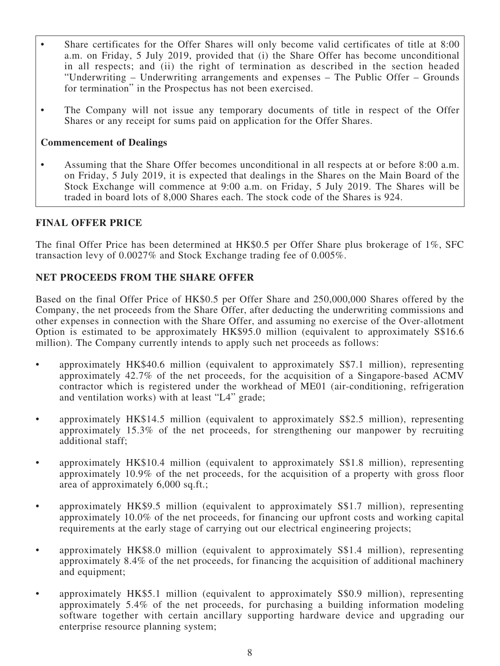- Share certificates for the Offer Shares will only become valid certificates of title at 8:00 a.m. on Friday, 5 July 2019, provided that (i) the Share Offer has become unconditional in all respects; and (ii) the right of termination as described in the section headed "Underwriting – Underwriting arrangements and expenses – The Public Offer – Grounds for termination" in the Prospectus has not been exercised.
- The Company will not issue any temporary documents of title in respect of the Offer Shares or any receipt for sums paid on application for the Offer Shares.

## **Commencement of Dealings**

Assuming that the Share Offer becomes unconditional in all respects at or before 8:00 a.m. on Friday, 5 July 2019, it is expected that dealings in the Shares on the Main Board of the Stock Exchange will commence at 9:00 a.m. on Friday, 5 July 2019. The Shares will be traded in board lots of 8,000 Shares each. The stock code of the Shares is 924.

## **FINAL OFFER PRICE**

The final Offer Price has been determined at HK\$0.5 per Offer Share plus brokerage of 1%, SFC transaction levy of 0.0027% and Stock Exchange trading fee of 0.005%.

## **NET PROCEEDS FROM THE SHARE OFFER**

Based on the final Offer Price of HK\$0.5 per Offer Share and 250,000,000 Shares offered by the Company, the net proceeds from the Share Offer, after deducting the underwriting commissions and other expenses in connection with the Share Offer, and assuming no exercise of the Over-allotment Option is estimated to be approximately HK\$95.0 million (equivalent to approximately S\$16.6 million). The Company currently intends to apply such net proceeds as follows:

- approximately HK\$40.6 million (equivalent to approximately S\$7.1 million), representing approximately 42.7% of the net proceeds, for the acquisition of a Singapore-based ACMV contractor which is registered under the workhead of ME01 (air-conditioning, refrigeration and ventilation works) with at least "L4" grade;
- approximately HK\$14.5 million (equivalent to approximately S\$2.5 million), representing approximately 15.3% of the net proceeds, for strengthening our manpower by recruiting additional staff;
- approximately HK\$10.4 million (equivalent to approximately S\$1.8 million), representing approximately 10.9% of the net proceeds, for the acquisition of a property with gross floor area of approximately 6,000 sq.ft.;
- approximately HK\$9.5 million (equivalent to approximately S\$1.7 million), representing approximately 10.0% of the net proceeds, for financing our upfront costs and working capital requirements at the early stage of carrying out our electrical engineering projects;
- approximately HK\$8.0 million (equivalent to approximately S\$1.4 million), representing approximately 8.4% of the net proceeds, for financing the acquisition of additional machinery and equipment;
- approximately HK\$5.1 million (equivalent to approximately S\$0.9 million), representing approximately 5.4% of the net proceeds, for purchasing a building information modeling software together with certain ancillary supporting hardware device and upgrading our enterprise resource planning system;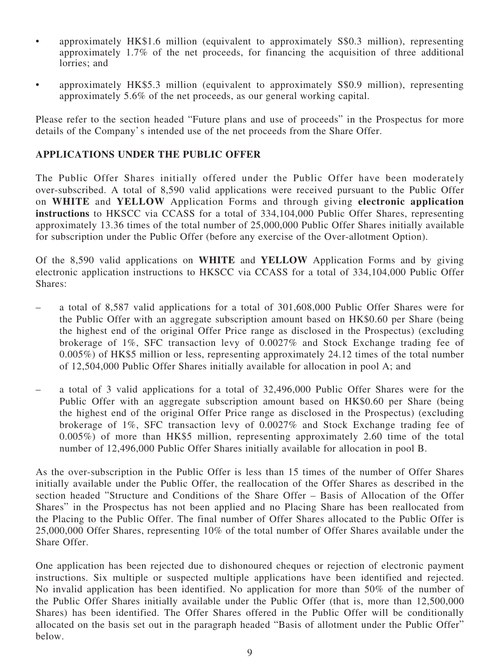- approximately HK\$1.6 million (equivalent to approximately S\$0.3 million), representing approximately 1.7% of the net proceeds, for financing the acquisition of three additional lorries; and
- approximately HK\$5.3 million (equivalent to approximately S\$0.9 million), representing approximately 5.6% of the net proceeds, as our general working capital.

Please refer to the section headed "Future plans and use of proceeds" in the Prospectus for more details of the Company's intended use of the net proceeds from the Share Offer.

## **APPLICATIONS UNDER THE PUBLIC OFFER**

The Public Offer Shares initially offered under the Public Offer have been moderately over-subscribed. A total of 8,590 valid applications were received pursuant to the Public Offer on **WHITE** and **YELLOW** Application Forms and through giving **electronic application instructions** to HKSCC via CCASS for a total of 334,104,000 Public Offer Shares, representing approximately 13.36 times of the total number of 25,000,000 Public Offer Shares initially available for subscription under the Public Offer (before any exercise of the Over-allotment Option).

Of the 8,590 valid applications on **WHITE** and **YELLOW** Application Forms and by giving electronic application instructions to HKSCC via CCASS for a total of 334,104,000 Public Offer Shares:

- a total of 8,587 valid applications for a total of 301,608,000 Public Offer Shares were for the Public Offer with an aggregate subscription amount based on HK\$0.60 per Share (being the highest end of the original Offer Price range as disclosed in the Prospectus) (excluding brokerage of 1%, SFC transaction levy of 0.0027% and Stock Exchange trading fee of 0.005%) of HK\$5 million or less, representing approximately 24.12 times of the total number of 12,504,000 Public Offer Shares initially available for allocation in pool A; and
- a total of 3 valid applications for a total of 32,496,000 Public Offer Shares were for the Public Offer with an aggregate subscription amount based on HK\$0.60 per Share (being the highest end of the original Offer Price range as disclosed in the Prospectus) (excluding brokerage of 1%, SFC transaction levy of 0.0027% and Stock Exchange trading fee of 0.005%) of more than HK\$5 million, representing approximately 2.60 time of the total number of 12,496,000 Public Offer Shares initially available for allocation in pool B.

As the over-subscription in the Public Offer is less than 15 times of the number of Offer Shares initially available under the Public Offer, the reallocation of the Offer Shares as described in the section headed "Structure and Conditions of the Share Offer – Basis of Allocation of the Offer Shares" in the Prospectus has not been applied and no Placing Share has been reallocated from the Placing to the Public Offer. The final number of Offer Shares allocated to the Public Offer is 25,000,000 Offer Shares, representing 10% of the total number of Offer Shares available under the Share Offer.

One application has been rejected due to dishonoured cheques or rejection of electronic payment instructions. Six multiple or suspected multiple applications have been identified and rejected. No invalid application has been identified. No application for more than 50% of the number of the Public Offer Shares initially available under the Public Offer (that is, more than 12,500,000 Shares) has been identified. The Offer Shares offered in the Public Offer will be conditionally allocated on the basis set out in the paragraph headed "Basis of allotment under the Public Offer" below.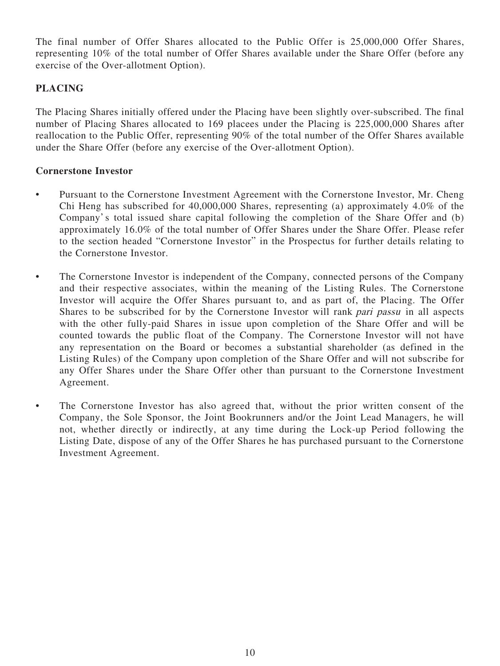The final number of Offer Shares allocated to the Public Offer is 25,000,000 Offer Shares, representing 10% of the total number of Offer Shares available under the Share Offer (before any exercise of the Over-allotment Option).

# **PLACING**

The Placing Shares initially offered under the Placing have been slightly over-subscribed. The final number of Placing Shares allocated to 169 placees under the Placing is 225,000,000 Shares after reallocation to the Public Offer, representing 90% of the total number of the Offer Shares available under the Share Offer (before any exercise of the Over-allotment Option).

## **Cornerstone Investor**

- Pursuant to the Cornerstone Investment Agreement with the Cornerstone Investor, Mr. Cheng Chi Heng has subscribed for 40,000,000 Shares, representing (a) approximately 4.0% of the Company's total issued share capital following the completion of the Share Offer and (b) approximately 16.0% of the total number of Offer Shares under the Share Offer. Please refer to the section headed "Cornerstone Investor" in the Prospectus for further details relating to the Cornerstone Investor.
- The Cornerstone Investor is independent of the Company, connected persons of the Company and their respective associates, within the meaning of the Listing Rules. The Cornerstone Investor will acquire the Offer Shares pursuant to, and as part of, the Placing. The Offer Shares to be subscribed for by the Cornerstone Investor will rank pari passu in all aspects with the other fully-paid Shares in issue upon completion of the Share Offer and will be counted towards the public float of the Company. The Cornerstone Investor will not have any representation on the Board or becomes a substantial shareholder (as defined in the Listing Rules) of the Company upon completion of the Share Offer and will not subscribe for any Offer Shares under the Share Offer other than pursuant to the Cornerstone Investment Agreement.
- The Cornerstone Investor has also agreed that, without the prior written consent of the Company, the Sole Sponsor, the Joint Bookrunners and/or the Joint Lead Managers, he will not, whether directly or indirectly, at any time during the Lock-up Period following the Listing Date, dispose of any of the Offer Shares he has purchased pursuant to the Cornerstone Investment Agreement.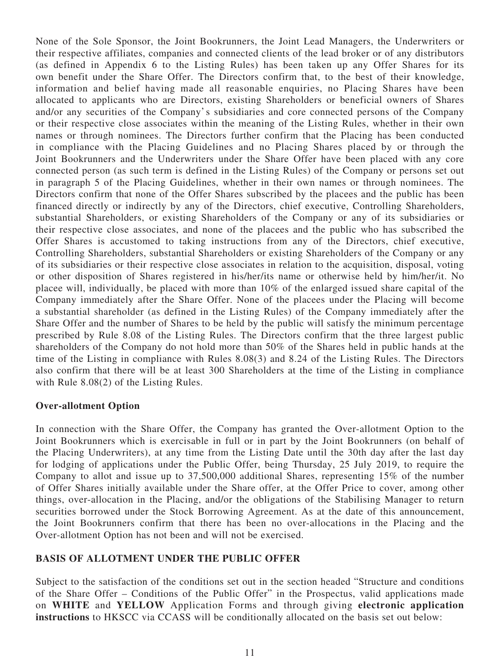None of the Sole Sponsor, the Joint Bookrunners, the Joint Lead Managers, the Underwriters or their respective affiliates, companies and connected clients of the lead broker or of any distributors (as defined in Appendix 6 to the Listing Rules) has been taken up any Offer Shares for its own benefit under the Share Offer. The Directors confirm that, to the best of their knowledge, information and belief having made all reasonable enquiries, no Placing Shares have been allocated to applicants who are Directors, existing Shareholders or beneficial owners of Shares and/or any securities of the Company's subsidiaries and core connected persons of the Company or their respective close associates within the meaning of the Listing Rules, whether in their own names or through nominees. The Directors further confirm that the Placing has been conducted in compliance with the Placing Guidelines and no Placing Shares placed by or through the Joint Bookrunners and the Underwriters under the Share Offer have been placed with any core connected person (as such term is defined in the Listing Rules) of the Company or persons set out in paragraph 5 of the Placing Guidelines, whether in their own names or through nominees. The Directors confirm that none of the Offer Shares subscribed by the placees and the public has been financed directly or indirectly by any of the Directors, chief executive, Controlling Shareholders, substantial Shareholders, or existing Shareholders of the Company or any of its subsidiaries or their respective close associates, and none of the placees and the public who has subscribed the Offer Shares is accustomed to taking instructions from any of the Directors, chief executive, Controlling Shareholders, substantial Shareholders or existing Shareholders of the Company or any of its subsidiaries or their respective close associates in relation to the acquisition, disposal, voting or other disposition of Shares registered in his/her/its name or otherwise held by him/her/it. No placee will, individually, be placed with more than 10% of the enlarged issued share capital of the Company immediately after the Share Offer. None of the placees under the Placing will become a substantial shareholder (as defined in the Listing Rules) of the Company immediately after the Share Offer and the number of Shares to be held by the public will satisfy the minimum percentage prescribed by Rule 8.08 of the Listing Rules. The Directors confirm that the three largest public shareholders of the Company do not hold more than 50% of the Shares held in public hands at the time of the Listing in compliance with Rules 8.08(3) and 8.24 of the Listing Rules. The Directors also confirm that there will be at least 300 Shareholders at the time of the Listing in compliance with Rule 8.08(2) of the Listing Rules.

### **Over-allotment Option**

In connection with the Share Offer, the Company has granted the Over-allotment Option to the Joint Bookrunners which is exercisable in full or in part by the Joint Bookrunners (on behalf of the Placing Underwriters), at any time from the Listing Date until the 30th day after the last day for lodging of applications under the Public Offer, being Thursday, 25 July 2019, to require the Company to allot and issue up to 37,500,000 additional Shares, representing 15% of the number of Offer Shares initially available under the Share offer, at the Offer Price to cover, among other things, over-allocation in the Placing, and/or the obligations of the Stabilising Manager to return securities borrowed under the Stock Borrowing Agreement. As at the date of this announcement, the Joint Bookrunners confirm that there has been no over-allocations in the Placing and the Over-allotment Option has not been and will not be exercised.

### **BASIS OF ALLOTMENT UNDER THE PUBLIC OFFER**

Subject to the satisfaction of the conditions set out in the section headed "Structure and conditions of the Share Offer – Conditions of the Public Offer" in the Prospectus, valid applications made on **WHITE** and **YELLOW** Application Forms and through giving **electronic application instructions** to HKSCC via CCASS will be conditionally allocated on the basis set out below: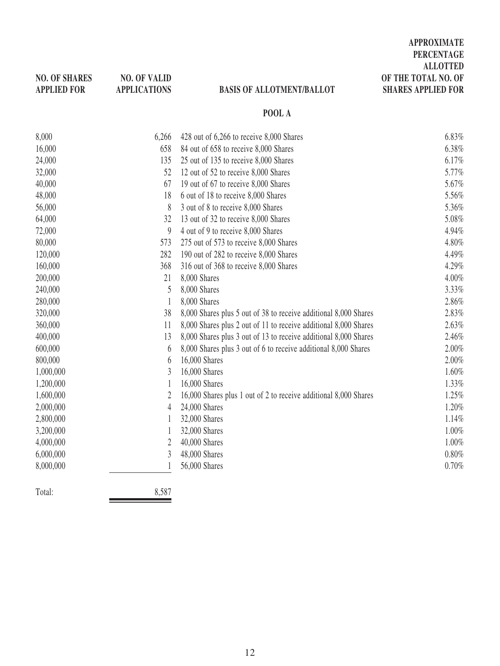| <b>NO. OF SHARES</b><br><b>APPLIED FOR</b> | <b>NO. OF VALID</b><br><b>APPLICATIONS</b> | <b>BASIS OF ALLOTMENT/BALLOT</b>                                 | <b>ALLOTTED</b><br>OF THE TOTAL NO. OF<br><b>SHARES APPLIED FOR</b> |
|--------------------------------------------|--------------------------------------------|------------------------------------------------------------------|---------------------------------------------------------------------|
|                                            |                                            | POOL A                                                           |                                                                     |
| 8,000                                      | 6,266                                      | 428 out of 6,266 to receive 8,000 Shares                         | 6.83%                                                               |
| 16,000                                     | 658                                        | 84 out of 658 to receive 8,000 Shares                            | 6.38%                                                               |
| 24,000                                     | 135                                        | 25 out of 135 to receive 8,000 Shares                            | 6.17%                                                               |
| 32,000                                     | 52                                         | 12 out of 52 to receive 8,000 Shares                             | 5.77%                                                               |
| 40,000                                     | 67                                         | 19 out of 67 to receive 8,000 Shares                             | 5.67%                                                               |
| 48,000                                     | 18                                         | 6 out of 18 to receive 8,000 Shares                              | 5.56%                                                               |
| 56,000                                     | 8                                          | 3 out of 8 to receive 8,000 Shares                               | 5.36%                                                               |
| 64,000                                     | 32                                         | 13 out of 32 to receive 8,000 Shares                             | 5.08%                                                               |
| 72,000                                     | $\boldsymbol{9}$                           | 4 out of 9 to receive 8,000 Shares                               | 4.94%                                                               |
| 80,000                                     | 573                                        | 275 out of 573 to receive 8,000 Shares                           | 4.80%                                                               |
| 120,000                                    | 282                                        | 190 out of 282 to receive 8,000 Shares                           | 4.49%                                                               |
| 160,000                                    | 368                                        | 316 out of 368 to receive 8,000 Shares                           | 4.29%                                                               |
| 200,000                                    | 21                                         | 8,000 Shares                                                     | 4.00%                                                               |
| 240,000                                    | 5                                          | 8,000 Shares                                                     | 3.33%                                                               |
| 280,000                                    | $\mathbf{1}$                               | 8,000 Shares                                                     | 2.86%                                                               |
| 320,000                                    | 38                                         | 8,000 Shares plus 5 out of 38 to receive additional 8,000 Shares | 2.83%                                                               |
| 360,000                                    | 11                                         | 8,000 Shares plus 2 out of 11 to receive additional 8,000 Shares | 2.63%                                                               |
| 400,000                                    | 13                                         | 8,000 Shares plus 3 out of 13 to receive additional 8,000 Shares | 2.46%                                                               |
| 600,000                                    | 6                                          | 8,000 Shares plus 3 out of 6 to receive additional 8,000 Shares  | 2.00%                                                               |
| 800,000                                    | 6                                          | 16,000 Shares                                                    | 2.00%                                                               |
| 1,000,000                                  | 3                                          | 16,000 Shares                                                    | 1.60%                                                               |
| 1,200,000                                  | 1                                          | 16,000 Shares                                                    | 1.33%                                                               |
| 1,600,000                                  | $\overline{2}$                             | 16,000 Shares plus 1 out of 2 to receive additional 8,000 Shares | 1.25%                                                               |
| 2,000,000                                  | $\overline{4}$                             | 24,000 Shares                                                    | 1.20%                                                               |
| 2,800,000                                  | 1                                          | 32,000 Shares                                                    | 1.14%                                                               |
| 3,200,000                                  | 1                                          | 32,000 Shares                                                    | 1.00%                                                               |
| 4,000,000                                  | 2                                          | 40,000 Shares                                                    | 1.00%                                                               |
| 6,000,000                                  | 3                                          | 48,000 Shares                                                    | 0.80%                                                               |
| 8,000,000                                  | 1                                          | 56,000 Shares                                                    | 0.70%                                                               |
| Total:                                     | 8,587                                      |                                                                  |                                                                     |

**APPROXIMATE PERCENTAGE**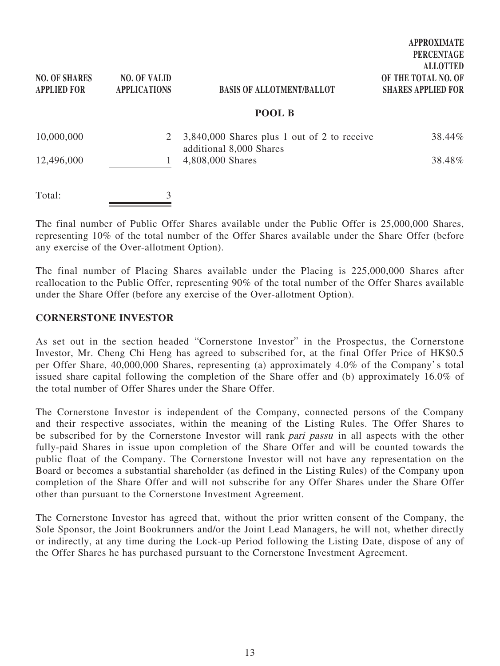| <b>NO. OF SHARES</b><br><b>APPLIED FOR</b> | <b>NO. OF VALID</b><br><b>APPLICATIONS</b> | <b>BASIS OF ALLOTMENT/BALLOT</b><br>POOL B  | <b>PERCENTAGE</b><br><b>ALLOTTED</b><br>OF THE TOTAL NO. OF<br><b>SHARES APPLIED FOR</b> |
|--------------------------------------------|--------------------------------------------|---------------------------------------------|------------------------------------------------------------------------------------------|
| 10,000,000                                 | 2                                          | 3,840,000 Shares plus 1 out of 2 to receive | 38.44%                                                                                   |
| 12,496,000                                 |                                            | additional 8,000 Shares<br>4,808,000 Shares | 38.48%                                                                                   |
| Total:                                     | 3                                          |                                             |                                                                                          |

**APPROXIMATE**

The final number of Public Offer Shares available under the Public Offer is 25,000,000 Shares, representing 10% of the total number of the Offer Shares available under the Share Offer (before any exercise of the Over-allotment Option).

The final number of Placing Shares available under the Placing is 225,000,000 Shares after reallocation to the Public Offer, representing 90% of the total number of the Offer Shares available under the Share Offer (before any exercise of the Over-allotment Option).

#### **CORNERSTONE INVESTOR**

As set out in the section headed "Cornerstone Investor" in the Prospectus, the Cornerstone Investor, Mr. Cheng Chi Heng has agreed to subscribed for, at the final Offer Price of HK\$0.5 per Offer Share, 40,000,000 Shares, representing (a) approximately 4.0% of the Company's total issued share capital following the completion of the Share offer and (b) approximately 16.0% of the total number of Offer Shares under the Share Offer.

The Cornerstone Investor is independent of the Company, connected persons of the Company and their respective associates, within the meaning of the Listing Rules. The Offer Shares to be subscribed for by the Cornerstone Investor will rank pari passu in all aspects with the other fully-paid Shares in issue upon completion of the Share Offer and will be counted towards the public float of the Company. The Cornerstone Investor will not have any representation on the Board or becomes a substantial shareholder (as defined in the Listing Rules) of the Company upon completion of the Share Offer and will not subscribe for any Offer Shares under the Share Offer other than pursuant to the Cornerstone Investment Agreement.

The Cornerstone Investor has agreed that, without the prior written consent of the Company, the Sole Sponsor, the Joint Bookrunners and/or the Joint Lead Managers, he will not, whether directly or indirectly, at any time during the Lock-up Period following the Listing Date, dispose of any of the Offer Shares he has purchased pursuant to the Cornerstone Investment Agreement.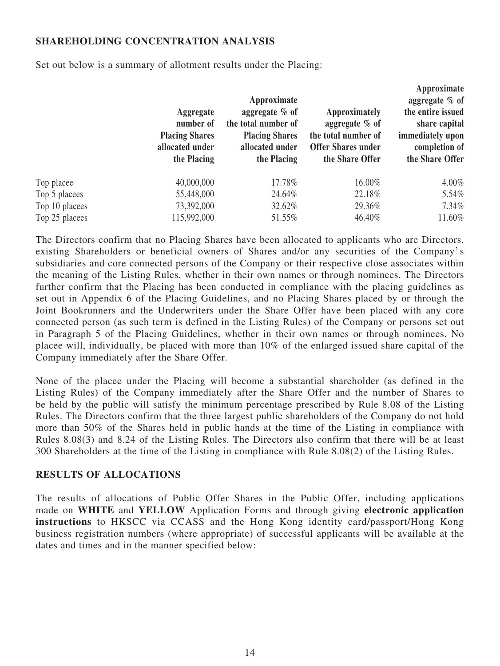## **SHAREHOLDING CONCENTRATION ANALYSIS**

Set out below is a summary of allotment results under the Placing:

|                | Aggregate<br>number of<br><b>Placing Shares</b><br>allocated under<br>the Placing | Approximate<br>aggregate $%$ of<br>the total number of<br><b>Placing Shares</b><br>allocated under<br>the Placing | Approximately<br>aggregate $%$ of<br>the total number of<br><b>Offer Shares under</b><br>the Share Offer | Approximate<br>aggregate $%$ of<br>the entire issued<br>share capital<br>immediately upon<br>completion of<br>the Share Offer |
|----------------|-----------------------------------------------------------------------------------|-------------------------------------------------------------------------------------------------------------------|----------------------------------------------------------------------------------------------------------|-------------------------------------------------------------------------------------------------------------------------------|
| Top placee     | 40,000,000                                                                        | 17.78%                                                                                                            | 16.00%                                                                                                   | $4.00\%$                                                                                                                      |
| Top 5 placees  | 55,448,000                                                                        | 24.64%                                                                                                            | 22.18%                                                                                                   | 5.54%                                                                                                                         |
| Top 10 placees | 73,392,000                                                                        | 32.62%                                                                                                            | 29.36%                                                                                                   | $7.34\%$                                                                                                                      |
| Top 25 placees | 115,992,000                                                                       | 51.55%                                                                                                            | 46.40%                                                                                                   | 11.60%                                                                                                                        |
|                |                                                                                   |                                                                                                                   |                                                                                                          |                                                                                                                               |

The Directors confirm that no Placing Shares have been allocated to applicants who are Directors, existing Shareholders or beneficial owners of Shares and/or any securities of the Company's subsidiaries and core connected persons of the Company or their respective close associates within the meaning of the Listing Rules, whether in their own names or through nominees. The Directors further confirm that the Placing has been conducted in compliance with the placing guidelines as set out in Appendix 6 of the Placing Guidelines, and no Placing Shares placed by or through the Joint Bookrunners and the Underwriters under the Share Offer have been placed with any core connected person (as such term is defined in the Listing Rules) of the Company or persons set out in Paragraph 5 of the Placing Guidelines, whether in their own names or through nominees. No placee will, individually, be placed with more than 10% of the enlarged issued share capital of the Company immediately after the Share Offer.

None of the placee under the Placing will become a substantial shareholder (as defined in the Listing Rules) of the Company immediately after the Share Offer and the number of Shares to be held by the public will satisfy the minimum percentage prescribed by Rule 8.08 of the Listing Rules. The Directors confirm that the three largest public shareholders of the Company do not hold more than 50% of the Shares held in public hands at the time of the Listing in compliance with Rules 8.08(3) and 8.24 of the Listing Rules. The Directors also confirm that there will be at least 300 Shareholders at the time of the Listing in compliance with Rule 8.08(2) of the Listing Rules.

### **RESULTS OF ALLOCATIONS**

The results of allocations of Public Offer Shares in the Public Offer, including applications made on **WHITE** and **YELLOW** Application Forms and through giving **electronic application instructions** to HKSCC via CCASS and the Hong Kong identity card/passport/Hong Kong business registration numbers (where appropriate) of successful applicants will be available at the dates and times and in the manner specified below: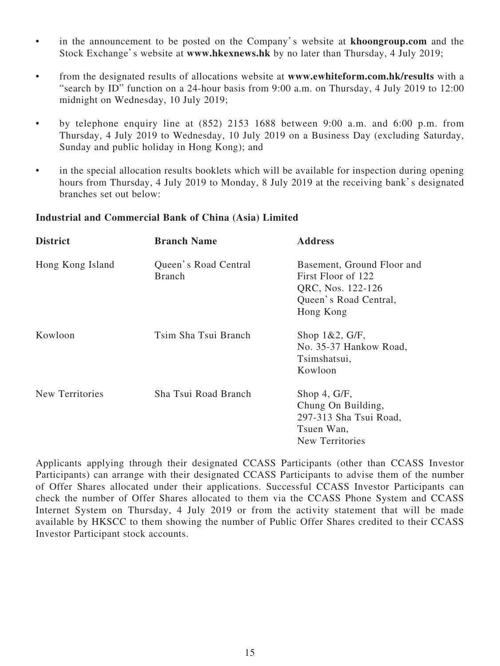- in the announcement to be posted on the Company's website at **khoongroup.com** and the Stock Exchange's website at **www.hkexnews.hk** by no later than Thursday, 4 July 2019;
- from the designated results of allocations website at **www.ewhiteform.com.hk/results** with a "search by ID" function on a 24-hour basis from 9:00 a.m. on Thursday, 4 July 2019 to 12:00 midnight on Wednesday, 10 July 2019;
- by telephone enquiry line at (852) 2153 1688 between 9:00 a.m. and 6:00 p.m. from Thursday, 4 July 2019 to Wednesday, 10 July 2019 on a Business Day (excluding Saturday, Sunday and public holiday in Hong Kong); and
- in the special allocation results booklets which will be available for inspection during opening hours from Thursday, 4 July 2019 to Monday, 8 July 2019 at the receiving bank's designated branches set out below:

## **Industrial and Commercial Bank of China (Asia) Limited**

| <b>District</b>  | <b>Branch Name</b>                    | <b>Address</b>                                                                                              |
|------------------|---------------------------------------|-------------------------------------------------------------------------------------------------------------|
| Hong Kong Island | Queen's Road Central<br><b>Branch</b> | Basement, Ground Floor and<br>First Floor of 122<br>QRC, Nos. 122-126<br>Queen's Road Central,<br>Hong Kong |
| Kowloon          | Tsim Sha Tsui Branch                  | Shop $1&2, G/F$ ,<br>No. 35-37 Hankow Road,<br>Tsimshatsui,<br>Kowloon                                      |
| New Territories  | Sha Tsui Road Branch                  | Shop 4, $G/F$ ,<br>Chung On Building,<br>297-313 Sha Tsui Road,<br>Tsuen Wan,<br>New Territories            |

Applicants applying through their designated CCASS Participants (other than CCASS Investor Participants) can arrange with their designated CCASS Participants to advise them of the number of Offer Shares allocated under their applications. Successful CCASS Investor Participants can check the number of Offer Shares allocated to them via the CCASS Phone System and CCASS Internet System on Thursday, 4 July 2019 or from the activity statement that will be made available by HKSCC to them showing the number of Public Offer Shares credited to their CCASS Investor Participant stock accounts.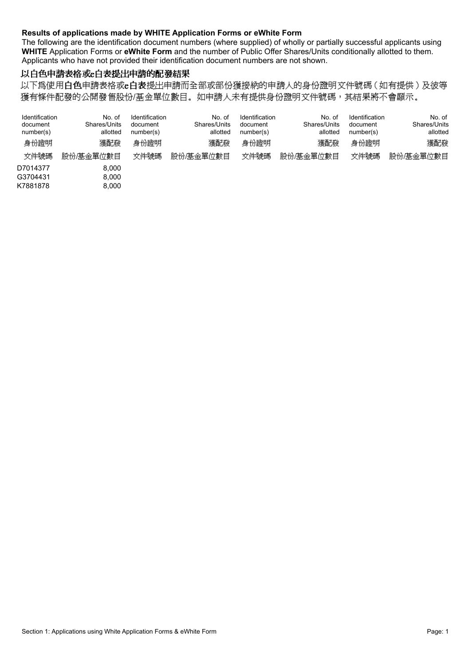#### **Results of applications made by WHITE Application Forms or eWhite Form**

The following are the identification document numbers (where supplied) of wholly or partially successful applicants using **WHITE** Application Forms or **eWhite Form** and the number of Public Offer Shares/Units conditionally allotted to them. Applicants who have not provided their identification document numbers are not shown.

## 以白色申請表格或:白表提出申請的配發結果

以下爲使用白色申請表格或e白表提出申請而全部或部份獲接納的申請人的身份證明文件號碼(如有提供)及彼等 獲有條件配發的公開發售股份/基金單位數目。如申請人未有提供身份證明文件號碼,其結果將不會顯示。

| Identification<br>Identification<br>Identification<br>No. of<br>No. of<br>Shares/Units<br>Shares/Units<br>document<br>document<br>document<br>allotted<br>allotted<br>number(s)<br>number(s)<br>number(s) | Identification<br>No. of<br>No. of<br>Shares/Units<br>Shares/Units<br>document<br>allotted<br>allotted<br>number(s) |
|-----------------------------------------------------------------------------------------------------------------------------------------------------------------------------------------------------------|---------------------------------------------------------------------------------------------------------------------|
| 身份證明<br>身份證明<br>獲配發<br>獲配發<br>身份證明                                                                                                                                                                        | 獲配發<br>身份證明<br>獲配發                                                                                                  |
| 文件號碼<br>文件號碼<br>股份/基金單位數目<br>文件號碼<br>股份/基金單位數目                                                                                                                                                            | 股份/基金單位數目<br>文件號碼<br>股份/基金單位數目                                                                                      |
| D7014377<br>8.000                                                                                                                                                                                         |                                                                                                                     |
| G3704431<br>8.000                                                                                                                                                                                         |                                                                                                                     |
| K7881878<br>8.000                                                                                                                                                                                         |                                                                                                                     |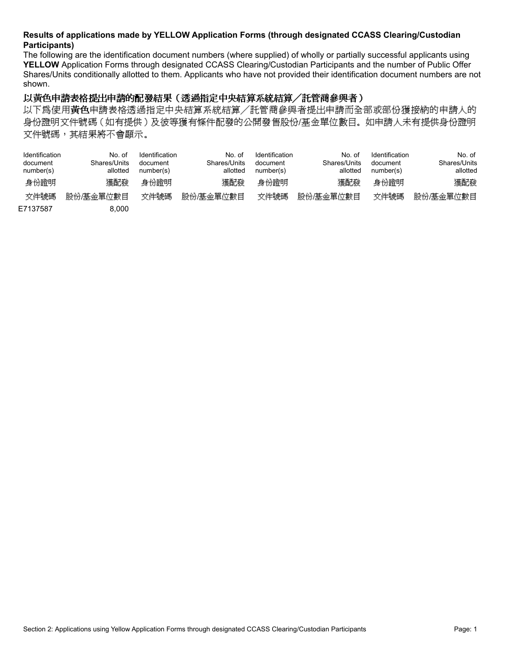#### **Results of applications made by YELLOW Application Forms (through designated CCASS Clearing/Custodian Participants)**

The following are the identification document numbers (where supplied) of wholly or partially successful applicants using **YELLOW** Application Forms through designated CCASS Clearing/Custodian Participants and the number of Public Offer Shares/Units conditionally allotted to them. Applicants who have not provided their identification document numbers are not shown.

#### 以黃色申請表格提出申請的配發結果(透過指定中央結算系統結算/託管商參與者)

以下爲使用黃色申請表格透過指定中央結算系統結算/託管商參與者提出申請而全部或部份獲接納的申請人的 身份證明文件號碼 (如有提供)及彼等獲有條件配發的公開發售股份/基金單位數目。如申請人未有提供身份證明 文件號碼,其結果將不會顯示。

| Identification<br>document<br>number(s) | No. of<br>Shares/Units<br>allotted | <b>Identification</b><br>document<br>number(s) | No. of<br>Shares/Units<br>allotted | Identification<br>document<br>number(s) | No. of<br>Shares/Units<br>allotted | Identification<br>document<br>number(s) | No. of<br>Shares/Units<br>allotted |  |
|-----------------------------------------|------------------------------------|------------------------------------------------|------------------------------------|-----------------------------------------|------------------------------------|-----------------------------------------|------------------------------------|--|
| 身份證明                                    | 獲配發                                | 身份證明                                           | 獲配發                                | 身份證明                                    | 獲配發                                | 身份證明                                    | 獲配發                                |  |
| 文件號碼                                    | 股份/基金單位數目                          | 文件號碼                                           | 股份/基金單位數目                          | 文件號碼                                    | 股份/基金單位數目                          | 文件號碼                                    | 股份/基金單位數目                          |  |
| E7137587                                | 8.000                              |                                                |                                    |                                         |                                    |                                         |                                    |  |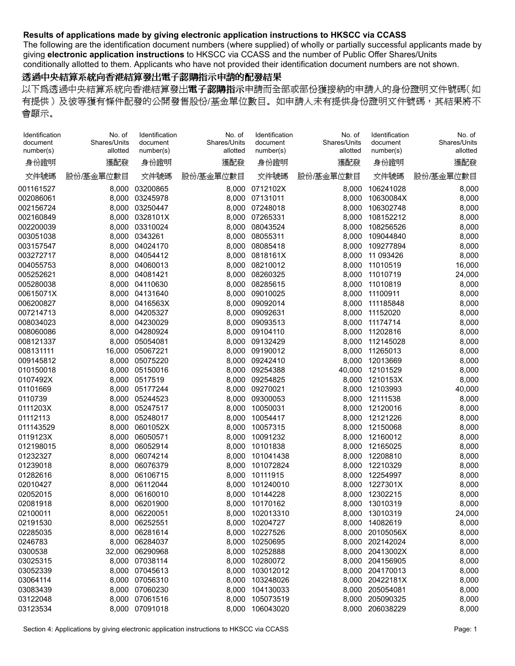The following are the identification document numbers (where supplied) of wholly or partially successful applicants made by giving **electronic application instructions** to HKSCC via CCASS and the number of Public Offer Shares/Units conditionally allotted to them. Applicants who have not provided their identification document numbers are not shown.

#### 透過中央結算系統向香港結算發出電子認購指示申請的配發結果

| Identification<br>document<br>number(s) | No. of<br>Shares/Units<br>allotted | Identification<br>document<br>number(s) | No. of<br>Shares/Units<br>allotted | Identification<br>document<br>number(s) | No. of<br>Shares/Units<br>allotted | Identification<br>document<br>number(s) | No. of<br>Shares/Units<br>allotted |
|-----------------------------------------|------------------------------------|-----------------------------------------|------------------------------------|-----------------------------------------|------------------------------------|-----------------------------------------|------------------------------------|
| 身份證明                                    | 獲配發                                | 身份證明                                    | 獲配發                                | 身份證明                                    | 獲配發                                | 身份證明                                    | 獲配發                                |
| 文件號碼                                    | 股份/基金單位數目                          | 文件號碼                                    | 股份/基金單位數目                          | 文件號碼                                    | 股份/基金單位數目                          | 文件號碼                                    | 股份/基金單位數目                          |
| 001161527                               | 8,000                              | 03200865                                | 8,000                              | 0712102X                                | 8,000                              | 106241028                               | 8,000                              |
| 002086061                               | 8,000                              | 03245978                                | 8,000                              | 07131011                                | 8,000                              | 10630084X                               | 8,000                              |
| 002156724                               | 8,000                              | 03250447                                |                                    | 8,000 07248018                          | 8,000                              | 106302748                               | 8,000                              |
| 002160849                               | 8,000                              | 0328101X                                | 8,000                              | 07265331                                | 8,000                              | 108152212                               | 8,000                              |
| 002200039                               | 8,000                              | 03310024                                | 8,000                              | 08043524                                | 8,000                              | 108256526                               | 8,000                              |
| 003051038                               | 8,000                              | 0343261                                 | 8,000                              | 08055311                                | 8,000                              | 109044840                               | 8,000                              |
| 003157547                               | 8,000                              | 04024170                                | 8,000                              | 08085418                                | 8,000                              | 109277894                               | 8,000                              |
| 003272717                               | 8,000                              | 04054412                                | 8,000                              | 0818161X                                | 8,000                              | 11 093426                               | 8,000                              |
| 004055753                               | 8,000                              | 04060013                                | 8,000                              | 08210012                                | 8,000                              | 11010519                                | 16,000                             |
| 005252621                               | 8,000                              | 04081421                                | 8,000                              | 08260325                                | 8,000                              | 11010719                                | 24,000                             |
| 005280038                               | 8,000                              | 04110630                                | 8,000                              | 08285615                                | 8,000                              | 11010819                                | 8,000                              |
| 00615071X                               | 8,000                              | 04131640                                | 8,000                              | 09010025                                | 8,000                              | 11100911                                | 8,000                              |
| 006200827                               | 8,000                              | 0416563X                                | 8,000                              | 09092014                                | 8,000                              | 111185848                               | 8,000                              |
| 007214713                               | 8,000                              | 04205327                                | 8,000                              | 09092631                                | 8,000                              | 11152020                                | 8,000                              |
| 008034023                               | 8,000                              | 04230029                                | 8,000                              | 09093513                                | 8,000                              | 11174714                                | 8,000                              |
| 008060086                               | 8,000                              | 04280924                                | 8,000                              | 09104110                                | 8,000                              | 11202816                                | 8,000                              |
| 008121337                               | 8,000                              | 05054081                                | 8,000                              | 09132429                                | 8,000                              | 112145028                               | 8,000                              |
| 008131111                               | 16,000                             | 05067221                                | 8,000                              | 09190012                                | 8,000                              | 11265013                                | 8,000                              |
| 009145812                               | 8,000                              | 05075220                                | 8,000                              | 09242410                                | 8,000                              | 12013669                                | 8,000                              |
| 010150018                               | 8,000                              | 05150016                                | 8,000                              | 09254388                                | 40,000                             | 12101529                                | 8,000                              |
| 0107492X                                | 8,000                              | 0517519                                 | 8,000                              | 09254825                                | 8,000                              | 1210153X                                | 8,000                              |
| 01101669                                |                                    | 8,000 05177244                          | 8,000                              | 09270021                                | 8,000                              | 12103993                                | 40,000                             |
| 0110739                                 | 8,000                              | 05244523                                | 8,000                              | 09300053                                | 8,000                              | 12111538                                | 8,000                              |
| 0111203X                                | 8,000                              | 05247517                                | 8,000                              | 10050031                                | 8,000                              | 12120016                                | 8,000                              |
| 01112113                                | 8,000                              | 05248017                                | 8,000                              | 10054417                                | 8,000                              | 12121226                                | 8,000                              |
| 011143529                               | 8,000                              | 0601052X                                | 8,000                              | 10057315                                | 8,000                              | 12150068                                | 8,000                              |
| 0119123X                                | 8,000                              | 06050571                                | 8,000                              | 10091232                                | 8,000                              | 12160012                                | 8,000                              |
| 012198015                               | 8,000                              | 06052914                                | 8,000                              | 10101838                                | 8,000                              | 12165025                                | 8,000                              |
| 01232327                                | 8,000                              | 06074214                                | 8,000                              | 101041438                               | 8,000                              | 12208810                                | 8,000                              |
| 01239018                                | 8,000                              | 06076379                                | 8,000                              | 101072824                               | 8,000                              | 12210329                                | 8,000                              |
| 01282616                                | 8,000                              | 06106715                                | 8,000                              | 10111915                                | 8,000                              | 12254997                                | 8,000                              |
| 02010427                                | 8,000                              | 06112044                                | 8,000                              | 101240010                               | 8,000                              | 1227301X                                | 8,000                              |
| 02052015                                | 8,000                              | 06160010                                | 8,000                              | 10144228                                | 8,000                              | 12302215                                | 8,000                              |
| 02081918                                | 8,000                              | 06201900                                | 8.000                              | 10170162                                | 8,000                              | 13010319                                | 8.000                              |
| 02100011                                |                                    | 8,000 06220051                          |                                    | 8,000 102013310                         |                                    | 8,000 13010319                          | 24,000                             |
| 02191530                                |                                    | 8,000 06252551                          |                                    | 8,000 10204727                          | 8,000                              | 14082619                                | 8,000                              |
| 02285035                                |                                    | 8,000 06281614                          |                                    | 8,000 10227526                          |                                    | 8,000 20105056X                         | 8,000                              |
| 0246783                                 |                                    | 8,000 06284037                          |                                    | 8,000 10250695                          |                                    | 8,000 202142024                         | 8,000                              |
| 0300538                                 |                                    | 32,000 06290968                         | 8,000                              | 10252888                                |                                    | 8,000 20413002X                         | 8,000                              |
| 03025315                                |                                    | 8,000 07038114                          |                                    | 8,000 10280072                          |                                    | 8,000 204156905                         | 8,000                              |
| 03052339                                |                                    | 8,000 07045613                          |                                    | 8,000 103012012                         |                                    | 8,000 204170013                         | 8,000                              |
| 03064114                                |                                    | 8,000 07056310                          |                                    | 8,000 103248026                         |                                    | 8,000 20422181X                         | 8,000                              |
| 03083439                                |                                    | 8,000 07060230                          |                                    | 8,000 104130033                         |                                    | 8,000 205054081                         | 8,000                              |
| 03122048                                |                                    | 8,000 07061516                          |                                    | 8,000 105073519                         |                                    | 8,000 205090325                         | 8,000                              |
| 03123534                                |                                    | 8,000 07091018                          |                                    | 8,000 106043020                         |                                    | 8,000 206038229                         | 8,000                              |
|                                         |                                    |                                         |                                    |                                         |                                    |                                         |                                    |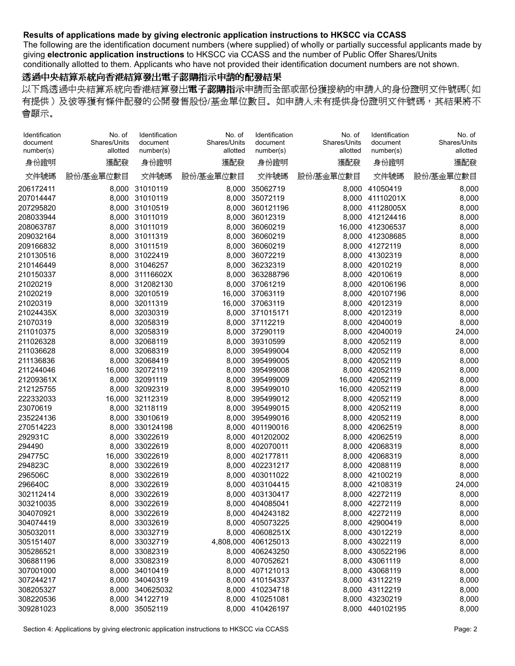The following are the identification document numbers (where supplied) of wholly or partially successful applicants made by giving **electronic application instructions** to HKSCC via CCASS and the number of Public Offer Shares/Units conditionally allotted to them. Applicants who have not provided their identification document numbers are not shown.

#### 透過中央結算系統向香港結算發出電子認購指示申請的配發結果

| Identification<br>document<br>number(s) | No. of<br>Shares/Units<br>allotted | Identification<br>document<br>number(s) | No. of<br>Shares/Units<br>allotted | Identification<br>document<br>number(s) | No. of<br>Shares/Units<br>allotted | Identification<br>document<br>number(s) | No. of<br>Shares/Units<br>allotted |
|-----------------------------------------|------------------------------------|-----------------------------------------|------------------------------------|-----------------------------------------|------------------------------------|-----------------------------------------|------------------------------------|
| 身份證明                                    | 獲配發                                | 身份證明                                    | 獲配發                                | 身份證明                                    | 獲配發                                | 身份證明                                    | 獲配發                                |
| 文件號碼                                    | 股份/基金單位數目                          | 文件號碼                                    | 股份/基金單位數目                          | 文件號碼                                    | 股份/基金單位數目                          | 文件號碼                                    | 股份/基金單位數目                          |
| 206172411                               |                                    | 8,000 31010119                          | 8,000                              | 35062719                                |                                    | 8,000 41050419                          | 8,000                              |
| 207014447                               |                                    | 8,000 31010119                          | 8,000                              | 35072119                                |                                    | 8,000 41110201X                         | 8,000                              |
| 207295820                               |                                    | 8,000 31010519                          | 8,000                              | 360121196                               |                                    | 8,000 41128005X                         | 8,000                              |
| 208033944                               |                                    | 8,000 31011019                          | 8,000                              | 36012319                                |                                    | 8,000 412124416                         | 8,000                              |
| 208063787                               |                                    | 8,000 31011019                          | 8,000                              | 36060219                                |                                    | 16,000 412306537                        | 8,000                              |
| 209032164                               |                                    | 8,000 31011319                          | 8,000                              | 36060219                                |                                    | 8,000 412308685                         | 8,000                              |
| 209166832                               |                                    | 8,000 31011519                          | 8,000                              | 36060219                                |                                    | 8,000 41272119                          | 8,000                              |
| 210130516                               |                                    | 8,000 31022419                          | 8,000                              | 36072219                                |                                    | 8,000 41302319                          | 8,000                              |
| 210146449                               |                                    | 8,000 31046257                          | 8,000                              | 36232319                                | 8,000                              | 42010219                                | 8,000                              |
| 210150337                               |                                    | 8,000 31116602X                         | 8,000                              | 363288796                               | 8,000                              | 42010619                                | 8,000                              |
| 21020219                                |                                    | 8,000 312082130                         | 8,000                              | 37061219                                |                                    | 8,000 420106196                         | 8,000                              |
| 21020219                                |                                    | 8,000 32010519                          |                                    | 16,000 37063119                         |                                    | 8,000 420107196                         | 8,000                              |
| 21020319                                | 8,000                              | 32011319                                |                                    | 16,000 37063119                         |                                    | 8,000 42012319                          | 8,000                              |
| 21024435X                               |                                    | 8,000 32030319                          |                                    | 8,000 371015171                         | 8,000                              | 42012319                                | 8,000                              |
| 21070319                                | 8,000                              | 32058319                                | 8,000                              | 37112219                                | 8,000                              | 42040019                                | 8,000                              |
| 211010375                               | 8,000                              | 32058319                                | 8,000                              | 37290119                                |                                    | 8,000 42040019                          | 24,000                             |
| 211026328                               | 8,000                              | 32068119                                | 8,000                              | 39310599                                |                                    | 8,000 42052119                          | 8,000                              |
| 211036628                               | 8,000                              | 32068319                                | 8,000                              | 395499004                               | 8,000                              | 42052119                                | 8,000                              |
| 211136836                               | 8,000                              | 32068419                                | 8,000                              | 395499005                               | 8,000                              | 42052119                                | 8,000                              |
| 211244046                               | 16,000                             | 32072119                                | 8,000                              | 395499008                               |                                    | 8.000 42052119                          | 8,000                              |
| 21209361X                               | 8,000                              | 32091119                                | 8,000                              | 395499009                               |                                    | 16,000 42052119                         | 8,000                              |
| 212125755                               |                                    | 8,000 32092319                          | 8,000                              | 395499010                               |                                    | 16,000 42052119                         | 8,000                              |
| 222332033                               |                                    | 16,000 32112319                         | 8,000                              | 395499012                               |                                    | 8,000 42052119                          | 8,000                              |
| 23070619                                | 8,000                              | 32118119                                | 8,000                              | 395499015                               | 8,000                              | 42052119                                | 8,000                              |
| 235224136                               | 8,000                              | 33010619                                | 8,000                              | 395499016                               |                                    | 8,000 42052119                          | 8,000                              |
| 270514223                               | 8,000                              | 330124198                               | 8,000                              | 401190016                               |                                    | 8,000 42062519                          | 8,000                              |
| 292931C                                 | 8,000                              | 33022619                                | 8,000                              | 401202002                               | 8,000                              | 42062519                                | 8,000                              |
| 294490                                  | 8,000                              | 33022619                                | 8,000                              | 402070011                               | 8,000                              | 42068319                                | 8,000                              |
| 294775C                                 | 16,000                             | 33022619                                | 8,000                              | 402177811                               | 8,000                              | 42068319                                | 8,000                              |
| 294823C                                 | 8,000                              | 33022619                                | 8,000                              | 402231217                               |                                    | 8,000 42088119                          | 8,000                              |
| 296506C                                 | 8,000                              | 33022619                                | 8,000                              | 403011022                               |                                    | 8,000 42100219                          | 8,000                              |
| 296640C                                 | 8,000                              | 33022619                                | 8,000                              | 403104415                               | 8,000                              | 42108319                                | 24,000                             |
| 302112414                               | 8,000                              | 33022619                                | 8,000                              | 403130417                               | 8,000                              | 42272119                                | 8,000                              |
| 303210035                               |                                    | 8,000 33022619                          |                                    | 8.000 404085041                         |                                    | 8.000 42272119                          | 8.000                              |
| 304070921                               |                                    | 8,000 33022619                          |                                    | 8,000 404243182                         |                                    | 8,000 42272119                          | 8,000                              |
| 304074419                               |                                    | 8,000 33032619                          |                                    | 8,000 405073225                         |                                    | 8,000 42900419                          | 8,000                              |
| 305032011                               |                                    | 8,000 33032719                          |                                    | 8,000 40608251X                         |                                    | 8,000 43012219                          | 8,000                              |
| 305151407                               |                                    | 8,000 33032719                          |                                    | 4,808,000 406125013                     |                                    | 8,000 43022119                          | 8,000                              |
| 305286521                               |                                    | 8,000 33082319                          |                                    | 8,000 406243250                         |                                    | 8,000 430522196                         | 8,000                              |
| 306881196                               |                                    | 8,000 33082319                          |                                    | 8,000 407052621                         |                                    | 8,000 43061119                          | 8,000                              |
| 307001000                               |                                    | 8,000 34010419                          |                                    | 8,000 407121013                         |                                    | 8,000 43068119                          | 8,000                              |
| 307244217                               |                                    | 8,000 34040319                          |                                    | 8,000 410154337                         |                                    | 8,000 43112219                          | 8,000                              |
| 308205327                               |                                    | 8,000 340625032                         |                                    | 8,000 410234718                         |                                    | 8,000 43112219                          | 8,000                              |
| 308220536                               |                                    | 8,000 34122719                          |                                    | 8,000 410251081                         |                                    | 8,000 43230219                          | 8,000                              |
| 309281023                               |                                    | 8,000 35052119                          |                                    | 8,000 410426197                         |                                    | 8,000 440102195                         | 8,000                              |
|                                         |                                    |                                         |                                    |                                         |                                    |                                         |                                    |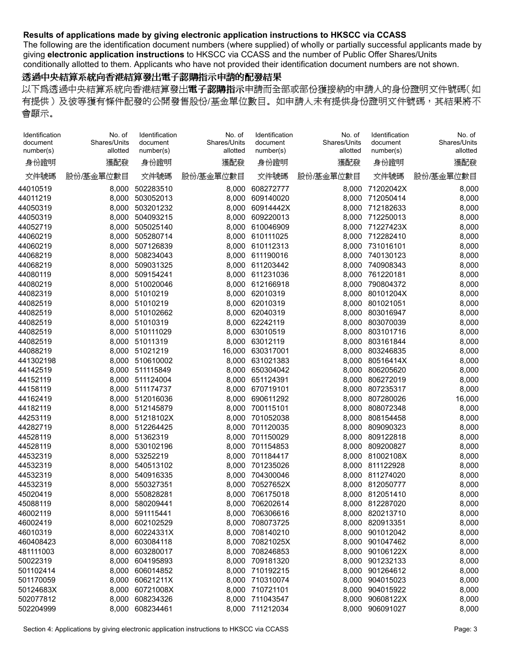The following are the identification document numbers (where supplied) of wholly or partially successful applicants made by giving **electronic application instructions** to HKSCC via CCASS and the number of Public Offer Shares/Units conditionally allotted to them. Applicants who have not provided their identification document numbers are not shown.

#### 透過中央結算系統向香港結算發出電子認購指示申請的配發結果

| Identification<br>document | No. of<br>Shares/Units | Identification<br>document         | No. of<br>Shares/Units | Identification<br>document | No. of<br>Shares/Units | Identification<br>document | No. of<br>Shares/Units |
|----------------------------|------------------------|------------------------------------|------------------------|----------------------------|------------------------|----------------------------|------------------------|
| number(s)                  | allotted               | number(s)                          | allotted               | number(s)                  | allotted               | number(s)                  | allotted               |
| 身份證明                       | 獲配發                    | 身份證明                               | 獲配發                    | 身份證明                       | 獲配發                    | 身份證明                       | 獲配發                    |
| 文件號碼                       | 股份/基金單位數目              | 文件號碼                               | 股份/基金單位數目              | 文件號碼                       | 股份/基金單位數目              | 文件號碼                       | 股份/基金單位數目              |
| 44010519                   | 8,000                  | 502283510                          | 8,000                  | 608272777                  | 8,000                  | 71202042X                  | 8,000                  |
| 44011219                   |                        | 8,000 503052013                    |                        | 8,000 609140020            |                        | 8,000 712050414            | 8,000                  |
| 44050319                   |                        | 8,000 503201232                    | 8,000                  | 60914442X                  |                        | 8,000 712182633            | 8,000                  |
| 44050319                   |                        | 8,000 504093215                    | 8,000                  | 609220013                  |                        | 8.000 712250013            | 8,000                  |
| 44052719                   | 8,000                  | 505025140                          | 8,000                  | 610046909                  |                        | 8,000 71227423X            | 8,000                  |
| 44060219                   | 8,000                  | 505280714                          |                        | 8,000 610111025            | 8,000                  | 712282410                  | 8,000                  |
| 44060219                   |                        | 8,000 507126839                    | 8,000                  | 610112313                  | 8,000                  | 731016101                  | 8,000                  |
| 44068219                   | 8,000                  | 508234043                          | 8,000                  | 611190016                  | 8,000                  | 740130123                  | 8,000                  |
| 44068219                   | 8,000                  | 509031325                          | 8,000                  | 611203442                  | 8,000                  | 740908343                  | 8,000                  |
| 44080119                   | 8,000                  | 509154241                          | 8,000                  | 611231036                  | 8,000                  | 761220181                  | 8,000                  |
| 44080219                   |                        | 8,000 510020046                    |                        | 8,000 612166918            | 8,000                  | 790804372                  | 8,000                  |
| 44082319                   |                        | 8,000 51010219                     | 8,000                  | 62010319                   | 8,000                  | 80101204X                  | 8,000                  |
| 44082519                   |                        | 8,000 51010219                     | 8,000                  | 62010319                   | 8,000                  | 801021051                  | 8,000                  |
| 44082519                   |                        | 8,000 510102662                    | 8,000                  | 62040319                   | 8,000                  | 803016947                  | 8,000                  |
| 44082519                   | 8,000                  | 51010319                           | 8,000                  | 62242119                   | 8,000                  | 803070039                  | 8,000                  |
| 44082519                   |                        | 8,000 510111029                    | 8,000                  | 63010519                   | 8,000                  | 803101716                  | 8,000                  |
| 44082519                   |                        | 8,000 51011319                     | 8,000                  | 63012119                   | 8,000                  | 803161844                  | 8,000                  |
| 44088219                   |                        | 8,000 51021219                     | 16,000                 | 630317001                  | 8,000                  | 803246835                  | 8,000                  |
| 441302198                  |                        | 8,000 510610002                    | 8,000                  | 631021383                  | 8,000                  | 80516414X                  | 8,000                  |
| 44142519                   |                        | 8,000 511115849                    | 8,000                  | 650304042                  | 8,000                  | 806205620                  | 8,000                  |
| 44152119                   |                        | 8,000 511124004                    |                        | 8,000 651124391            |                        | 8,000 806272019            | 8,000                  |
| 44158119                   |                        | 8,000 511174737                    | 8,000                  | 670719101                  |                        | 8,000 807235317            | 8,000                  |
| 44162419                   |                        | 8,000 512016036                    | 8,000                  | 690611292                  | 8,000                  | 807280026                  | 16,000                 |
| 44182119                   |                        | 8,000 512145879                    | 8,000                  | 700115101                  | 8,000                  | 808072348                  | 8,000                  |
| 44253119                   |                        | 8,000 51218102X                    | 8,000                  | 701052038                  | 8,000                  | 808154458                  | 8,000                  |
| 44282719                   |                        | 8,000 512264425                    | 8,000                  | 701120035                  | 8,000                  | 809090323                  | 8,000                  |
| 44528119                   |                        | 8,000 51362319                     | 8,000                  | 701150029                  | 8,000                  | 809122818                  | 8,000                  |
| 44528119                   | 8,000                  | 530102196                          | 8,000                  | 701154853                  | 8,000                  | 809200827                  | 8,000                  |
| 44532319                   | 8,000                  | 53252219                           | 8,000                  | 701184417                  | 8,000                  | 81002108X                  | 8,000                  |
| 44532319                   |                        | 8,000 540513102                    |                        | 8,000 701235026            |                        | 8,000 811122928            | 8,000                  |
| 44532319                   | 8,000                  | 540916335                          | 8,000                  | 704300046                  |                        | 8,000 811274020            | 8,000                  |
| 44532319                   | 8,000                  | 550327351                          | 8,000                  | 70527652X                  |                        | 8,000 812050777            | 8,000                  |
| 45020419                   | 8,000                  | 550828281                          | 8,000                  | 706175018                  | 8,000                  | 812051410                  | 8,000                  |
| 45088119                   |                        | 8.000 580209441                    |                        | 8.000 706202614            |                        | 8.000 812287020            | 8.000                  |
| 46002119                   |                        | 8,000 591115441                    |                        | 8,000 706306616            |                        | 8,000 820213710            | 8,000                  |
| 46002419                   |                        | 8,000 602102529                    |                        | 8,000 708073725            |                        | 8,000 820913351            | 8,000                  |
| 46010319                   |                        | 8,000 60224331X                    |                        | 8,000 708140210            |                        | 8,000 901012042            | 8,000                  |
| 460408423                  |                        | 8,000 603084118                    |                        | 8,000 70821025X            |                        | 8,000 901047462            | 8,000                  |
| 481111003                  |                        | 8,000 603280017                    |                        | 8,000 708246853            |                        | 8,000 90106122X            | 8,000                  |
| 50022319                   |                        | 8,000 604195893                    |                        | 8,000 709181320            |                        | 8,000 901232133            | 8,000                  |
| 501102414                  |                        | 8,000 606014852                    |                        | 8,000 710192215            |                        | 8,000 901264612            | 8,000                  |
| 501170059                  |                        | 8,000 60621211X                    |                        | 8,000 710310074            |                        | 8,000 904015023            | 8,000                  |
|                            |                        |                                    |                        | 8,000 710721101            |                        | 8,000 904015922            | 8,000                  |
| 50124683X<br>502077812     |                        | 8,000 60721008X<br>8,000 608234326 |                        | 8,000 711043547            |                        | 8,000 90608122X            | 8,000                  |
|                            |                        |                                    |                        |                            |                        |                            |                        |
| 502204999                  |                        | 8,000 608234461                    |                        | 8,000 711212034            |                        | 8,000 906091027            | 8,000                  |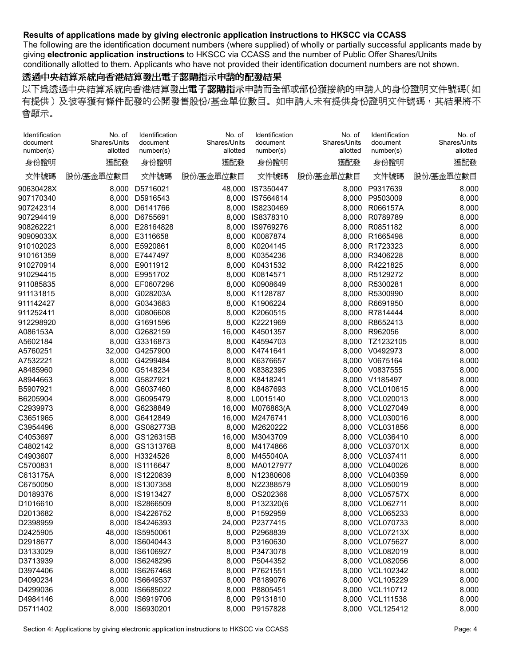The following are the identification document numbers (where supplied) of wholly or partially successful applicants made by giving **electronic application instructions** to HKSCC via CCASS and the number of Public Offer Shares/Units conditionally allotted to them. Applicants who have not provided their identification document numbers are not shown.

### 透過中央結算系統向香港結算發出電子認購指示申請的配發結果

| Identification<br>document | No. of<br>Shares/Units | Identification<br>document | No. of<br>Shares/Units | Identification<br>document | No. of<br>Shares/Units | Identification<br>document | No. of<br>Shares/Units |
|----------------------------|------------------------|----------------------------|------------------------|----------------------------|------------------------|----------------------------|------------------------|
| number(s)                  | allotted               | number(s)                  | allotted               | number(s)                  | allotted               | number(s)                  | allotted               |
| 身份證明                       | 獲配發                    | 身份證明                       | 獲配發                    | 身份證明                       | 獲配發                    | 身份證明                       | 獲配發                    |
| 文件號碼                       | 股份/基金單位數目              | 文件號碼                       | 股份/基金單位數目              | 文件號碼                       | 股份/基金單位數目              | 文件號碼                       | 股份/基金單位數目              |
| 90630428X                  | 8,000                  | D5716021                   | 48,000                 | IS7350447                  | 8,000                  | P9317639                   | 8,000                  |
| 907170340                  |                        | 8,000 D5916543             |                        | 8,000 IS7564614            | 8,000                  | P9503009                   | 8,000                  |
| 907242314                  | 8,000                  | D6141766                   | 8,000                  | IS8230469                  |                        | 8,000 R066157A             | 8,000                  |
| 907294419                  | 8,000                  | D6755691                   | 8,000                  | IS8378310                  | 8,000                  | R0789789                   | 8,000                  |
| 908262221                  | 8,000                  | E28164828                  | 8,000                  | IS9769276                  | 8,000                  | R0851182                   | 8,000                  |
| 90909033X                  |                        | 8,000 E3116658             | 8,000                  | K0087874                   | 8,000                  | R1665498                   | 8,000                  |
| 910102023                  |                        | 8,000 E5920861             | 8,000                  | K0204145                   | 8,000                  | R1723323                   | 8,000                  |
| 910161359                  |                        | 8,000 E7447497             | 8,000                  | K0354236                   | 8,000                  | R3406228                   | 8,000                  |
| 910270914                  | 8,000                  | E9011912                   | 8,000                  | K0431532                   | 8,000                  | R4221825                   | 8,000                  |
| 910294415                  | 8,000                  | E9951702                   | 8,000                  | K0814571                   | 8,000                  | R5129272                   | 8,000                  |
| 911085835                  |                        | 8,000 EF0607296            |                        | 8,000 K0908649             | 8,000                  | R5300281                   | 8,000                  |
| 911131815                  | 8,000                  | G028203A                   |                        | 8,000 K1128787             | 8,000                  | R5300990                   | 8,000                  |
| 911142427                  | 8,000                  | G0343683                   |                        | 8.000 K1906224             | 8,000                  | R6691950                   | 8,000                  |
| 911252411                  | 8,000                  | G0806608                   | 8,000                  | K2060515                   | 8,000                  | R7814444                   | 8,000                  |
| 912298920                  | 8,000                  | G1691596                   | 8,000                  | K2221969                   | 8,000                  | R8652413                   | 8,000                  |
| A086153A                   | 8,000                  | G2682159                   | 16,000                 | K4501357                   | 8,000                  | R962056                    | 8,000                  |
| A5602184                   | 8,000                  | G3316873                   | 8,000                  | K4594703                   | 8,000                  | TZ1232105                  | 8,000                  |
| A5760251                   | 32,000                 | G4257900                   | 8,000                  | K4741641                   | 8,000                  | V0492973                   | 8,000                  |
| A7532221                   | 8,000                  | G4299484                   | 8,000                  | K6376657                   |                        | 8,000 V0675164             | 8,000                  |
| A8485960                   | 8,000                  | G5148234                   |                        | 8,000 K8382395             |                        | 8,000 V0837555             | 8,000                  |
| A8944663                   | 8,000                  | G5827921                   |                        | 8,000 K8418241             |                        | 8,000 V1185497             |                        |
|                            |                        | G6037460                   |                        |                            |                        |                            | 8,000                  |
| B5907921                   | 8,000                  |                            |                        | 8,000 K8487693             |                        | 8,000 VCL010615            | 8,000                  |
| B6205904                   | 8,000                  | G6095479                   | 8,000                  | L0015140                   |                        | 8,000 VCL020013            | 8,000                  |
| C2939973                   | 8,000                  | G6238849                   | 16,000                 | M076863(A                  | 8,000                  | VCL027049                  | 8,000                  |
| C3651965                   | 8,000                  | G6412849                   | 16,000                 | M2476741                   | 8,000                  | VCL030016                  | 8,000                  |
| C3954496                   | 8,000                  | GS082773B                  | 8,000                  | M2620222                   | 8,000                  | <b>VCL031856</b>           | 8,000                  |
| C4053697                   | 8,000                  | GS126315B                  | 16,000                 | M3043709                   | 8,000                  | VCL036410                  | 8,000                  |
| C4802142                   | 8,000                  | GS131376B                  | 8,000                  | M4174866                   | 8,000                  | <b>VCL03701X</b>           | 8,000                  |
| C4903607                   | 8,000                  | H3324526                   | 8,000                  | M455040A                   |                        | 8.000 VCL037411            | 8,000                  |
| C5700831                   | 8,000                  | IS1116647                  | 8,000                  | MA0127977                  |                        | 8,000 VCL040026            | 8,000                  |
| C613175A                   | 8,000                  | IS1220839                  | 8,000                  | N12380606                  |                        | 8,000 VCL040359            | 8,000                  |
| C6750050                   | 8,000                  | IS1307358                  | 8,000                  | N22388579                  | 8,000                  | VCL050019                  | 8,000                  |
| D0189376                   | 8,000                  | IS1913427                  | 8,000                  | OS202366                   | 8,000                  | <b>VCL05757X</b>           | 8,000                  |
| D1016610                   | 8.000                  | IS2866509                  |                        | 8,000 P132320(6            |                        | 8.000 VCL062711            | 8.000                  |
| D2013682                   |                        | 8,000 IS4226752            |                        | 8,000 P1592959             |                        | 8,000 VCL065233            | 8,000                  |
| D2398959                   |                        | 8,000 IS4246393            |                        | 24,000 P2377415            |                        | 8,000 VCL070733            | 8,000                  |
| D2425905                   | 48,000                 | IS5950061                  |                        | 8,000 P2968839             |                        | 8,000 VCL07213X            | 8,000                  |
| D2918677                   |                        | 8,000 IS6040443            |                        | 8,000 P3160630             |                        | 8,000 VCL075627            | 8,000                  |
| D3133029                   |                        | 8,000 IS6106927            |                        | 8,000 P3473078             |                        | 8,000 VCL082019            | 8,000                  |
| D3713939                   |                        | 8,000 IS6248296            |                        | 8,000 P5044352             |                        | 8,000 VCL082056            | 8,000                  |
| D3974406                   |                        | 8,000 IS6267468            |                        | 8,000 P7621551             |                        | 8,000 VCL102342            | 8,000                  |
| D4090234                   | 8,000                  | IS6649537                  |                        | 8,000 P8189076             |                        | 8,000 VCL105229            | 8,000                  |
| D4299036                   | 8,000                  | IS6685022                  |                        | 8,000 P8805451             |                        | 8,000 VCL110712            | 8,000                  |
| D4984146                   |                        | 8,000 IS6919706            |                        | 8,000 P9131810             |                        | 8,000 VCL111538            | 8,000                  |
| D5711402                   |                        | 8,000 IS6930201            |                        | 8,000 P9157828             |                        | 8,000 VCL125412            | 8,000                  |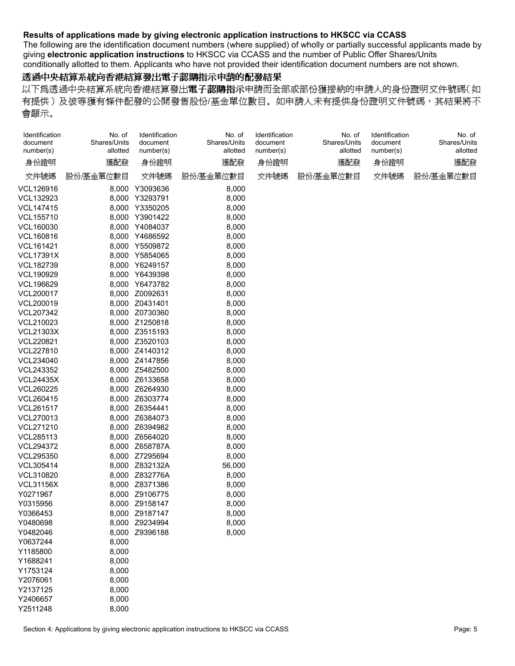The following are the identification document numbers (where supplied) of wholly or partially successful applicants made by giving **electronic application instructions** to HKSCC via CCASS and the number of Public Offer Shares/Units conditionally allotted to them. Applicants who have not provided their identification document numbers are not shown.

### 透過中央結算系統向香港結算發出電子認購指示申請的配發結果

以下爲透過中央結算系統向香港結算發出電子認購指示申請而全部或部份獲接納的申請人的身份證明文件號碼(如 有提供)及彼等獲有條件配發的公開發售股份/基金單位數目。如申請人未有提供身份證明文件號碼,其結果將不 會顯示。

| Identification<br>document<br>number(s) | No. of<br>Shares/Units<br>allotted | Identification<br>document<br>number(s) | No. of<br>Shares/Units<br>allotted | Identification<br>document<br>number(s) | No. of<br>Shares/Units<br>allotted | Identification<br>document<br>number(s) | No. of<br>Shares/Units<br>allotted |  |
|-----------------------------------------|------------------------------------|-----------------------------------------|------------------------------------|-----------------------------------------|------------------------------------|-----------------------------------------|------------------------------------|--|
| 身份證明                                    | 獲配發                                | 身份證明                                    | 獲配發                                | 身份證明                                    | 獲配發                                | 身份證明                                    | 獲配發                                |  |
| 文件號碼                                    | 股份/基金單位數目                          | 文件號碼                                    | 股份/基金單位數目                          | 文件號碼                                    | 股份/基金單位數目                          | 文件號碼                                    | 股份/基金單位數目                          |  |
| VCL126916                               |                                    | 8,000 Y3093636                          | 8,000                              |                                         |                                    |                                         |                                    |  |
| <b>VCL132923</b>                        |                                    | 8,000 Y3293791                          | 8,000                              |                                         |                                    |                                         |                                    |  |
| <b>VCL147415</b>                        |                                    | 8,000 Y3350205                          | 8,000                              |                                         |                                    |                                         |                                    |  |
| VCL155710                               |                                    | 8,000 Y3901422                          | 8,000                              |                                         |                                    |                                         |                                    |  |
| VCL160030                               |                                    | 8,000 Y4084037                          | 8,000                              |                                         |                                    |                                         |                                    |  |
| VCL160816                               |                                    | 8,000 Y4686592                          | 8,000                              |                                         |                                    |                                         |                                    |  |
| VCL161421                               |                                    | 8,000 Y5509872                          | 8,000                              |                                         |                                    |                                         |                                    |  |
| <b>VCL17391X</b>                        |                                    | 8,000 Y5854065                          | 8,000                              |                                         |                                    |                                         |                                    |  |
| VCL182739                               |                                    | 8,000 Y6249157                          | 8,000                              |                                         |                                    |                                         |                                    |  |
| VCL190929                               |                                    | 8,000 Y6439398                          | 8,000                              |                                         |                                    |                                         |                                    |  |
| VCL196629                               |                                    | 8,000 Y6473782                          | 8,000                              |                                         |                                    |                                         |                                    |  |
| <b>VCL200017</b>                        |                                    | 8,000 Z0092631                          | 8,000                              |                                         |                                    |                                         |                                    |  |
| VCL200019                               |                                    | 8,000 Z0431401                          | 8,000                              |                                         |                                    |                                         |                                    |  |
| VCL207342                               |                                    | 8,000 Z0730360                          | 8,000                              |                                         |                                    |                                         |                                    |  |
| VCL210023                               |                                    | 8,000 Z1250818                          | 8,000                              |                                         |                                    |                                         |                                    |  |
| <b>VCL21303X</b>                        |                                    | 8,000 Z3515193                          | 8,000                              |                                         |                                    |                                         |                                    |  |
| VCL220821                               |                                    | 8,000 Z3520103                          | 8,000                              |                                         |                                    |                                         |                                    |  |
| <b>VCL227810</b>                        |                                    | 8,000 Z4140312                          | 8,000                              |                                         |                                    |                                         |                                    |  |
| VCL234040                               |                                    | 8,000 Z4147856                          | 8,000                              |                                         |                                    |                                         |                                    |  |
| VCL243352                               |                                    | 8,000 Z5482500                          | 8,000                              |                                         |                                    |                                         |                                    |  |
| <b>VCL24435X</b>                        |                                    | 8,000 Z6133658                          | 8,000                              |                                         |                                    |                                         |                                    |  |
| <b>VCL260225</b>                        |                                    | 8,000 Z6264930                          | 8,000                              |                                         |                                    |                                         |                                    |  |
| VCL260415                               |                                    | 8,000 Z6303774                          | 8,000                              |                                         |                                    |                                         |                                    |  |
| <b>VCL261517</b>                        |                                    | 8,000 Z6354441                          | 8,000                              |                                         |                                    |                                         |                                    |  |
| <b>VCL270013</b>                        |                                    | 8,000 Z6384073                          | 8,000                              |                                         |                                    |                                         |                                    |  |
| VCL271210                               |                                    | 8,000 Z6394982                          | 8,000                              |                                         |                                    |                                         |                                    |  |
| VCL285113                               |                                    | 8,000 Z6564020                          | 8,000                              |                                         |                                    |                                         |                                    |  |
| <b>VCL294372</b>                        |                                    | 8,000 Z658787A                          | 8,000                              |                                         |                                    |                                         |                                    |  |
| <b>VCL295350</b>                        |                                    | 8,000 Z7295694                          | 8,000                              |                                         |                                    |                                         |                                    |  |
| VCL305414                               |                                    | 8,000 Z832132A                          | 56,000                             |                                         |                                    |                                         |                                    |  |
| VCL310820                               |                                    | 8,000 Z832776A                          | 8,000                              |                                         |                                    |                                         |                                    |  |
| <b>VCL31156X</b>                        |                                    | 8,000 Z8371386                          | 8,000                              |                                         |                                    |                                         |                                    |  |
| Y0271967                                |                                    | 8,000 Z9106775                          | 8,000                              |                                         |                                    |                                         |                                    |  |
| Y0315956                                |                                    | 8,000 Z9158147                          | 8,000                              |                                         |                                    |                                         |                                    |  |
| Y0366453                                |                                    | 8,000 Z9187147                          | 8,000                              |                                         |                                    |                                         |                                    |  |
| Y0480698                                |                                    | 8,000 Z9234994                          | 8,000                              |                                         |                                    |                                         |                                    |  |
| Y0482046                                |                                    | 8,000 Z9396188                          | 8,000                              |                                         |                                    |                                         |                                    |  |
| Y0637244                                | 8,000                              |                                         |                                    |                                         |                                    |                                         |                                    |  |
| Y1185800                                | 8,000                              |                                         |                                    |                                         |                                    |                                         |                                    |  |
| Y1688241                                | 8,000                              |                                         |                                    |                                         |                                    |                                         |                                    |  |
| Y1753124                                | 8,000                              |                                         |                                    |                                         |                                    |                                         |                                    |  |
| Y2076061                                | 8,000                              |                                         |                                    |                                         |                                    |                                         |                                    |  |
| Y2137125                                | 8,000                              |                                         |                                    |                                         |                                    |                                         |                                    |  |
| Y2406657                                | 8,000                              |                                         |                                    |                                         |                                    |                                         |                                    |  |
|                                         |                                    |                                         |                                    |                                         |                                    |                                         |                                    |  |

Y2511248 8,000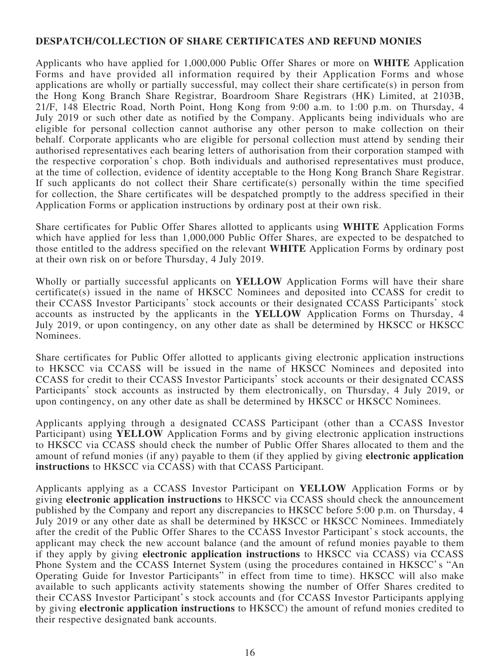## **DESPATCH/COLLECTION OF SHARE CERTIFICATES AND REFUND MONIES**

Applicants who have applied for 1,000,000 Public Offer Shares or more on **WHITE** Application Forms and have provided all information required by their Application Forms and whose applications are wholly or partially successful, may collect their share certificate(s) in person from the Hong Kong Branch Share Registrar, Boardroom Share Registrars (HK) Limited, at 2103B, 21/F, 148 Electric Road, North Point, Hong Kong from 9:00 a.m. to 1:00 p.m. on Thursday, 4 July 2019 or such other date as notified by the Company. Applicants being individuals who are eligible for personal collection cannot authorise any other person to make collection on their behalf. Corporate applicants who are eligible for personal collection must attend by sending their authorised representatives each bearing letters of authorisation from their corporation stamped with the respective corporation's chop. Both individuals and authorised representatives must produce, at the time of collection, evidence of identity acceptable to the Hong Kong Branch Share Registrar. If such applicants do not collect their Share certificate(s) personally within the time specified for collection, the Share certificates will be despatched promptly to the address specified in their Application Forms or application instructions by ordinary post at their own risk.

Share certificates for Public Offer Shares allotted to applicants using **WHITE** Application Forms which have applied for less than 1,000,000 Public Offer Shares, are expected to be despatched to those entitled to the address specified on the relevant **WHITE** Application Forms by ordinary post at their own risk on or before Thursday, 4 July 2019.

Wholly or partially successful applicants on **YELLOW** Application Forms will have their share certificate(s) issued in the name of HKSCC Nominees and deposited into CCASS for credit to their CCASS Investor Participants' stock accounts or their designated CCASS Participants' stock accounts as instructed by the applicants in the **YELLOW** Application Forms on Thursday, 4 July 2019, or upon contingency, on any other date as shall be determined by HKSCC or HKSCC Nominees.

Share certificates for Public Offer allotted to applicants giving electronic application instructions to HKSCC via CCASS will be issued in the name of HKSCC Nominees and deposited into CCASS for credit to their CCASS Investor Participants' stock accounts or their designated CCASS Participants' stock accounts as instructed by them electronically, on Thursday, 4 July 2019, or upon contingency, on any other date as shall be determined by HKSCC or HKSCC Nominees.

Applicants applying through a designated CCASS Participant (other than a CCASS Investor Participant) using **YELLOW** Application Forms and by giving electronic application instructions to HKSCC via CCASS should check the number of Public Offer Shares allocated to them and the amount of refund monies (if any) payable to them (if they applied by giving **electronic application instructions** to HKSCC via CCASS) with that CCASS Participant.

Applicants applying as a CCASS Investor Participant on **YELLOW** Application Forms or by giving **electronic application instructions** to HKSCC via CCASS should check the announcement published by the Company and report any discrepancies to HKSCC before 5:00 p.m. on Thursday, 4 July 2019 or any other date as shall be determined by HKSCC or HKSCC Nominees. Immediately after the credit of the Public Offer Shares to the CCASS Investor Participant's stock accounts, the applicant may check the new account balance (and the amount of refund monies payable to them if they apply by giving **electronic application instructions** to HKSCC via CCASS) via CCASS Phone System and the CCASS Internet System (using the procedures contained in HKSCC's "An Operating Guide for Investor Participants" in effect from time to time). HKSCC will also make available to such applicants activity statements showing the number of Offer Shares credited to their CCASS Investor Participant's stock accounts and (for CCASS Investor Participants applying by giving **electronic application instructions** to HKSCC) the amount of refund monies credited to their respective designated bank accounts.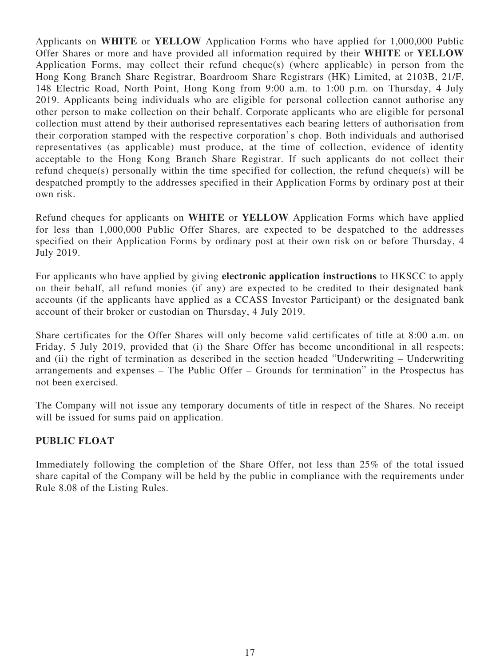Applicants on **WHITE** or **YELLOW** Application Forms who have applied for 1,000,000 Public Offer Shares or more and have provided all information required by their **WHITE** or **YELLOW** Application Forms, may collect their refund cheque(s) (where applicable) in person from the Hong Kong Branch Share Registrar, Boardroom Share Registrars (HK) Limited, at 2103B, 21/F, 148 Electric Road, North Point, Hong Kong from 9:00 a.m. to 1:00 p.m. on Thursday, 4 July 2019. Applicants being individuals who are eligible for personal collection cannot authorise any other person to make collection on their behalf. Corporate applicants who are eligible for personal collection must attend by their authorised representatives each bearing letters of authorisation from their corporation stamped with the respective corporation's chop. Both individuals and authorised representatives (as applicable) must produce, at the time of collection, evidence of identity acceptable to the Hong Kong Branch Share Registrar. If such applicants do not collect their refund cheque(s) personally within the time specified for collection, the refund cheque(s) will be despatched promptly to the addresses specified in their Application Forms by ordinary post at their own risk.

Refund cheques for applicants on **WHITE** or **YELLOW** Application Forms which have applied for less than 1,000,000 Public Offer Shares, are expected to be despatched to the addresses specified on their Application Forms by ordinary post at their own risk on or before Thursday, 4 July 2019.

For applicants who have applied by giving **electronic application instructions** to HKSCC to apply on their behalf, all refund monies (if any) are expected to be credited to their designated bank accounts (if the applicants have applied as a CCASS Investor Participant) or the designated bank account of their broker or custodian on Thursday, 4 July 2019.

Share certificates for the Offer Shares will only become valid certificates of title at 8:00 a.m. on Friday, 5 July 2019, provided that (i) the Share Offer has become unconditional in all respects; and (ii) the right of termination as described in the section headed "Underwriting – Underwriting arrangements and expenses – The Public Offer – Grounds for termination" in the Prospectus has not been exercised.

The Company will not issue any temporary documents of title in respect of the Shares. No receipt will be issued for sums paid on application.

# **PUBLIC FLOAT**

Immediately following the completion of the Share Offer, not less than 25% of the total issued share capital of the Company will be held by the public in compliance with the requirements under Rule 8.08 of the Listing Rules.